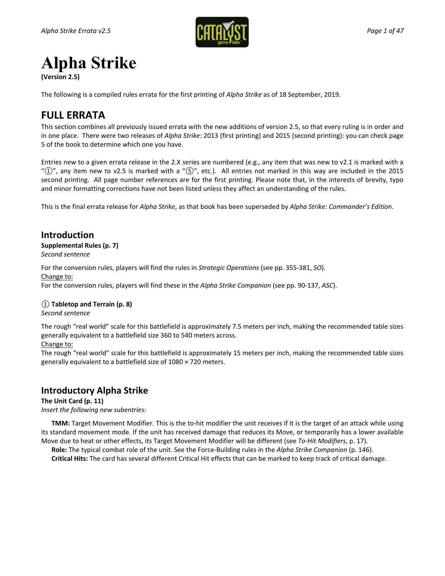

# **Alpha Strike**

**(Version 2.5)**

The following is a compiled rules errata for the first printing of *Alpha Strike* as of 18 September, 2019.

## **FULL ERRATA**

This section combines all previously issued errata with the new additions of version 2.5, so that every ruling is in order and in one place. There were two releases of *Alpha Strike*: 2013 (first printing) and 2015 (second printing): you can check page 5 of the book to determine which one you have.

Entries new to a given errata release in the 2.X series are numbered (e.g., any item that was new to v2.1 is marked with a "*①*", any item new to v2.5 is marked with a "*⑤*", etc.). All entries not marked in this way are included in the 2015 second printing. All page number references are for the first printing. Please note that, in the interests of brevity, typo and minor formatting corrections have not been listed unless they affect an understanding of the rules.

This is the final errata release for *Alpha Strike*, as that book has been superseded by *Alpha Strike: Commander's Edition*.

## **Introduction**

**Supplemental Rules (p. 7)** *Second sentence*

For the conversion rules, players will find the rules in *Strategic Operations* (see pp. 355-381, *SO*).

### Change to:

For the conversion rules, players will find these in the *Alpha Strike Companion* (see pp. 90-137, *ASC*).

### *①* **Tabletop and Terrain (p. 8)**

### *Second sentence*

The rough "real world" scale for this battlefield is approximately 7.5 meters per inch, making the recommended table sizes generally equivalent to a battlefield size 360 to 540 meters across.

### Change to:

The rough "real world" scale for this battlefield is approximately 15 meters per inch, making the recommended table sizes generally equivalent to a battlefield size of 1080 × 720 meters.

### **Introductory Alpha Strike**

### **The Unit Card (p. 11)**

*Insert the following new subentries:*

**TMM:** Target Movement Modifier. This is the to-hit modifier the unit receives if it is the target of an attack while using its standard movement mode. If the unit has received damage that reduces its Move, or temporarily has a lower available Move due to heat or other effects, its Target Movement Modifier will be different (see *To-Hit Modifiers*, p. 17).

**Role:** The typical combat role of the unit. See the Force-Building rules in the *Alpha Strike Companion* (p. 146).

**Critical Hits:** The card has several different Critical Hit effects that can be marked to keep track of critical damage.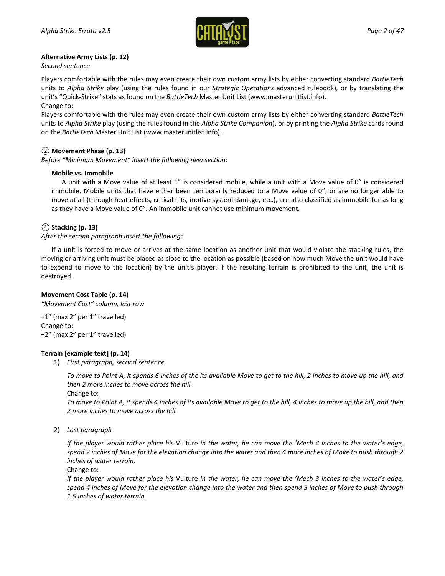

### **Alternative Army Lists (p. 12)**

*Second sentence*

Players comfortable with the rules may even create their own custom army lists by either converting standard *BattleTech* units to *Alpha Strike* play (using the rules found in our *Strategic Operations* advanced rulebook), or by translating the unit's "Quick-Strike" stats as found on the *BattleTech* Master Unit List [\(www.masterunitlist.info\)](http://www.masterunitlist.info/). Change to:

Players comfortable with the rules may even create their own custom army lists by either converting standard *BattleTech* units to *Alpha Strike* play (using the rules found in the *Alpha Strike Companion*), or by printing the *Alpha Strike* cards found on the *BattleTech* Master Unit List [\(www.masterunitlist.info\)](http://www.masterunitlist.info/).

### *②* **Movement Phase (p. 13)**

*Before "Minimum Movement" insert the following new section:*

### **Mobile vs. Immobile**

A unit with a Move value of at least 1" is considered mobile, while a unit with a Move value of 0" is considered immobile. Mobile units that have either been temporarily reduced to a Move value of 0", or are no longer able to move at all (through heat effects, critical hits, motive system damage, etc.), are also classified as immobile for as long as they have a Move value of 0". An immobile unit cannot use minimum movement.

### *④* **Stacking (p. 13)**

*After the second paragraph insert the following:*

If a unit is forced to move or arrives at the same location as another unit that would violate the stacking rules, the moving or arriving unit must be placed as close to the location as possible (based on how much Move the unit would have to expend to move to the location) by the unit's player. If the resulting terrain is prohibited to the unit, the unit is destroyed.

### **Movement Cost Table (p. 14)**

*"Movement Cost" column, last row*

+1" (max 2" per 1" travelled) Change to: +2" (max 2" per 1" travelled)

### **Terrain [example text] (p. 14)**

1) *First paragraph, second sentence*

*To move to Point A, it spends 6 inches of the its available Move to get to the hill, 2 inches to move up the hill, and then 2 more inches to move across the hill.*

Change to:

*To move to Point A, it spends 4 inches of its available Move to get to the hill, 4 inches to move up the hill, and then 2 more inches to move across the hill.*

2) *Last paragraph*

*If the player would rather place his* Vulture *in the water, he can move the 'Mech 4 inches to the water's edge, spend 2 inches of Move for the elevation change into the water and then 4 more inches of Move to push through 2 inches of water terrain.*

Change to:

*If the player would rather place his* Vulture *in the water, he can move the 'Mech 3 inches to the water's edge, spend 4 inches of Move for the elevation change into the water and then spend 3 inches of Move to push through 1.5 inches of water terrain.*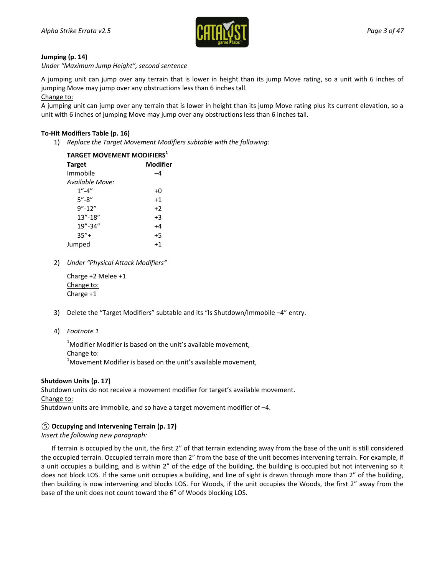

### **Jumping (p. 14)**

#### *Under "Maximum Jump Height", second sentence*

A jumping unit can jump over any terrain that is lower in height than its jump Move rating, so a unit with 6 inches of jumping Move may jump over any obstructions less than 6 inches tall.

#### Change to:

A jumping unit can jump over any terrain that is lower in height than its jump Move rating plus its current elevation, so a unit with 6 inches of jumping Move may jump over any obstructions less than 6 inches tall.

### **To-Hit Modifiers Table (p. 16)**

1) *Replace the Target Movement Modifiers subtable with the following:*

| <b>TARGET MOVEMENT MODIFIERS1</b> |  |  |
|-----------------------------------|--|--|
| Modifier                          |  |  |
| -4                                |  |  |
|                                   |  |  |
| $+0$                              |  |  |
| $+1$                              |  |  |
| $+2$                              |  |  |
| $+3$                              |  |  |
| +4                                |  |  |
| $+5$                              |  |  |
| $+1$                              |  |  |
|                                   |  |  |

2) *Under "Physical Attack Modifiers"*

Charge +2 Melee +1 Change to: Charge +1

- 3) Delete the "Target Modifiers" subtable and its "Is Shutdown/Immobile –4" entry.
- 4) *Footnote 1*

 $1$ Modifier Modifier is based on the unit's available movement, Change to:  $1$ Movement Modifier is based on the unit's available movement,

### **Shutdown Units (p. 17)**

Shutdown units do not receive a movement modifier for target's available movement. Change to: Shutdown units are immobile, and so have a target movement modifier of –4.

*⑤* **Occupying and Intervening Terrain (p. 17)** *Insert the following new paragraph:*

If terrain is occupied by the unit, the first 2" of that terrain extending away from the base of the unit is still considered the occupied terrain. Occupied terrain more than 2" from the base of the unit becomes intervening terrain. For example, if a unit occupies a building, and is within 2" of the edge of the building, the building is occupied but not intervening so it does not block LOS. If the same unit occupies a building, and line of sight is drawn through more than 2" of the building, then building is now intervening and blocks LOS. For Woods, if the unit occupies the Woods, the first 2" away from the base of the unit does not count toward the 6" of Woods blocking LOS.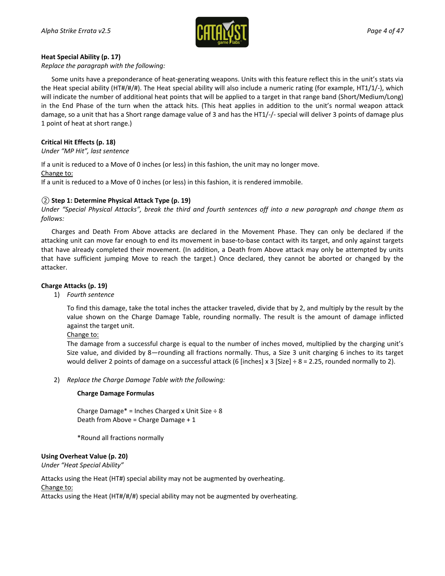

### **Heat Special Ability (p. 17)**

*Replace the paragraph with the following:*

Some units have a preponderance of heat-generating weapons. Units with this feature reflect this in the unit's stats via the Heat special ability (HT#/#/#). The Heat special ability will also include a numeric rating (for example, HT1/1/-), which will indicate the number of additional heat points that will be applied to a target in that range band (Short/Medium/Long) in the End Phase of the turn when the attack hits. (This heat applies in addition to the unit's normal weapon attack damage, so a unit that has a Short range damage value of 3 and has the HT1/-/- special will deliver 3 points of damage plus 1 point of heat at short range.)

### **Critical Hit Effects (p. 18)**

*Under "MP Hit", last sentence*

If a unit is reduced to a Move of 0 inches (or less) in this fashion, the unit may no longer move.

Change to:

If a unit is reduced to a Move of 0 inches (or less) in this fashion, it is rendered immobile.

### *②* **Step 1: Determine Physical Attack Type (p. 19)**

*Under "Special Physical Attacks", break the third and fourth sentences off into a new paragraph and change them as follows:*

Charges and Death From Above attacks are declared in the Movement Phase. They can only be declared if the attacking unit can move far enough to end its movement in base-to-base contact with its target, and only against targets that have already completed their movement. (In addition, a Death from Above attack may only be attempted by units that have sufficient jumping Move to reach the target.) Once declared, they cannot be aborted or changed by the attacker.

### **Charge Attacks (p. 19)**

1) *Fourth sentence*

To find this damage, take the total inches the attacker traveled, divide that by 2, and multiply by the result by the value shown on the Charge Damage Table, rounding normally. The result is the amount of damage inflicted against the target unit.

#### Change to:

The damage from a successful charge is equal to the number of inches moved, multiplied by the charging unit's Size value, and divided by 8—rounding all fractions normally. Thus, a Size 3 unit charging 6 inches to its target would deliver 2 points of damage on a successful attack (6 [inches] x 3 [Size]  $\div$  8 = 2.25, rounded normally to 2).

2) *Replace the Charge Damage Table with the following:*

### **Charge Damage Formulas**

Charge Damage\* = Inches Charged x Unit Size  $\div$  8 Death from Above = Charge Damage + 1

\*Round all fractions normally

#### **Using Overheat Value (p. 20)**

*Under "Heat Special Ability"*

Attacks using the Heat (HT#) special ability may not be augmented by overheating.

Change to:

Attacks using the Heat (HT#/#/#) special ability may not be augmented by overheating.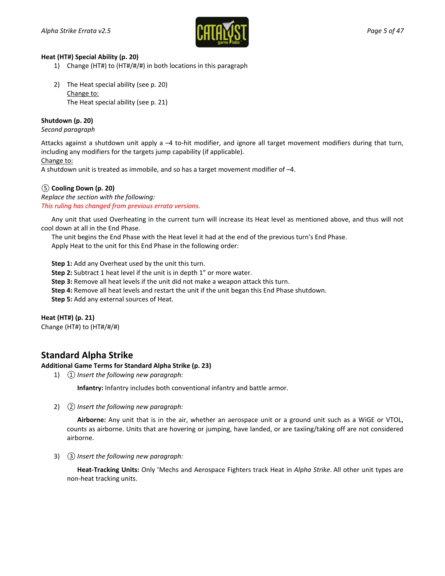

### **Heat (HT#) Special Ability (p. 20)**

- 1) Change (HT#) to (HT#/#/#) in both locations in this paragraph
- 2) The Heat special ability (see p. 20) Change to: The Heat special ability (see p. 21)

### **Shutdown (p. 20)**

#### *Second paragraph*

Attacks against a shutdown unit apply a –4 to-hit modifier, and ignore all target movement modifiers during that turn, including any modifiers for the targets jump capability (if applicable).

### Change to:

A shutdown unit is treated as immobile, and so has a target movement modifier of –4.

### *⑤* **Cooling Down (p. 20)**

*Replace the section with the following: This ruling has changed from previous errata versions.*

Any unit that used Overheating in the current turn will increase its Heat level as mentioned above, and thus will not cool down at all in the End Phase.

The unit begins the End Phase with the Heat level it had at the end of the previous turn's End Phase. Apply Heat to the unit for this End Phase in the following order:

**Step 1:** Add any Overheat used by the unit this turn.

**Step 2:** Subtract 1 heat level if the unit is in depth 1" or more water.

**Step 3:** Remove all heat levels if the unit did not make a weapon attack this turn.

**Step 4:** Remove all heat levels and restart the unit if the unit began this End Phase shutdown.

**Step 5:** Add any external sources of Heat.

**Heat (HT#) (p. 21)**

Change (HT#) to (HT#/#/#)

### **Standard Alpha Strike**

### **Additional Game Terms for Standard Alpha Strike (p. 23)**

1) *① Insert the following new paragraph:*

**Infantry:** Infantry includes both conventional infantry and battle armor.

2) *② Insert the following new paragraph:*

**Airborne:** Any unit that is in the air, whether an aerospace unit or a ground unit such as a WiGE or VTOL, counts as airborne. Units that are hovering or jumping, have landed, or are taxiing/taking off are not considered airborne.

3) *③ Insert the following new paragraph:*

**Heat-Tracking Units:** Only 'Mechs and Aerospace Fighters track Heat in *Alpha Strike*. All other unit types are non-heat tracking units.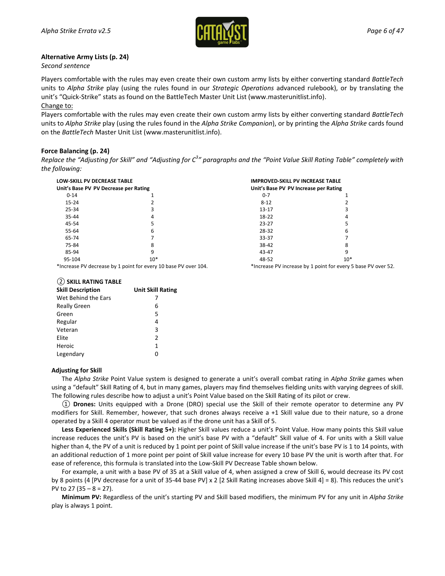

#### **Alternative Army Lists (p. 24)**

*Second sentence*

Players comfortable with the rules may even create their own custom army lists by either converting standard *BattleTech* units to *Alpha Strike* play (using the rules found in our *Strategic Operations* advanced rulebook), or by translating the unit's "Quick-Strike" stats as found on the BattleTech Master Unit List [\(www.masterunitlist.info\)](http://www.masterunitlist.info/). Change to:

Players comfortable with the rules may even create their own custom army lists by either converting standard *BattleTech* units to *Alpha Strike* play (using the rules found in the *Alpha Strike Companion*), or by printing the *Alpha Strike* cards found on the *BattleTech* Master Unit List [\(www.masterunitlist.info\)](http://www.masterunitlist.info/).

#### **Force Balancing (p. 24)**

*Replace the "Adjusting for Skill" and "Adjusting for C3 " paragraphs and the "Point Value Skill Rating Table" completely with the following:*

<span id="page-5-0"></span>

| LOW-SKILL PV DECREASE TABLE<br>Unit's Base PV PV Decrease per Rating |                                                                                               | <b>IMPROVED-SKILL PV INCREASE TABLE</b><br>Unit's Base PV PV Increase per Rating                                                                                                                                               |       |
|----------------------------------------------------------------------|-----------------------------------------------------------------------------------------------|--------------------------------------------------------------------------------------------------------------------------------------------------------------------------------------------------------------------------------|-------|
|                                                                      |                                                                                               |                                                                                                                                                                                                                                |       |
| $15 - 24$                                                            |                                                                                               | $8 - 12$                                                                                                                                                                                                                       |       |
| 25-34                                                                |                                                                                               | $13 - 17$                                                                                                                                                                                                                      |       |
| $35 - 44$                                                            |                                                                                               | 18-22                                                                                                                                                                                                                          |       |
| 45-54                                                                |                                                                                               | $23 - 27$                                                                                                                                                                                                                      |       |
| 55-64                                                                | 6                                                                                             | 28-32                                                                                                                                                                                                                          | 6     |
| 65-74                                                                |                                                                                               | 33-37                                                                                                                                                                                                                          |       |
| 75-84                                                                |                                                                                               | 38-42                                                                                                                                                                                                                          | 8     |
| 85-94                                                                |                                                                                               | 43-47                                                                                                                                                                                                                          | 9     |
| 95-104                                                               | $10*$                                                                                         | 48-52                                                                                                                                                                                                                          | $10*$ |
|                                                                      | $\mathbf{v}_1$ , and a probability of the function of $\mathbf{A}$ probability $\mathbf{p}_1$ | While the company of the contract of the contract of the contract of the contract of the contract of the contract of the contract of the contract of the contract of the contract of the contract of the contract of the contr |       |

\*Increase PV decrease by 1 point for every 10 base PV over 104.

\*Increase PV increase by 1 point for every 5 base PV over 52.

#### *②* **SKILL RATING TABLE**

| <b>Skill Description</b> | <b>Unit Skill Rating</b> |
|--------------------------|--------------------------|
| Wet Behind the Ears      |                          |
| <b>Really Green</b>      | 6                        |
| Green                    | 5                        |
| Regular                  | 4                        |
| Veteran                  | 3                        |
| Elite                    | $\mathfrak z$            |
| Heroic                   | 1                        |
| Legendary                | ი                        |

#### **Adjusting for Skill**

The *Alpha Strike* Point Value system is designed to generate a unit's overall combat rating in *Alpha Strike* games when using a "default" Skill Rating of 4, but in many games, players may find themselves fielding units with varying degrees of skill. The following rules describe how to adjust a unit's Point Value based on the Skill Rating of its pilot or crew.

*①* **Drones:** Units equipped with a Drone (DRO) special use the Skill of their remote operator to determine any PV modifiers for Skill. Remember, however, that such drones always receive a +1 Skill value due to their nature, so a drone operated by a Skill 4 operator must be valued as if the drone unit has a Skill of 5.

**Less Experienced Skills (Skill Rating 5+):** Higher Skill values reduce a unit's Point Value. How many points this Skill value increase reduces the unit's PV is based on the unit's base PV with a "default" Skill value of 4. For units with a Skill value higher than 4, the PV of a unit is reduced by 1 point per point of Skill value increase if the unit's base PV is 1 to 14 points, with an additional reduction of 1 more point per point of Skill value increase for every 10 base PV the unit is worth after that. For ease of reference, this formula is translated into the Low-Skill PV Decrease Table shown below.

For example, a unit with a base PV of 35 at a Skill value of 4, when assigned a crew of Skill 6, would decrease its PV cost by 8 points (4 [PV decrease for a unit of 35-44 base PV] x 2 [2 Skill Rating increases above Skill 4] = 8). This reduces the unit's PV to  $27(35 - 8 = 27)$ .

**Minimum PV:** Regardless of the unit's starting PV and Skill based modifiers, the minimum PV for any unit in *Alpha Strike* play is always 1 point.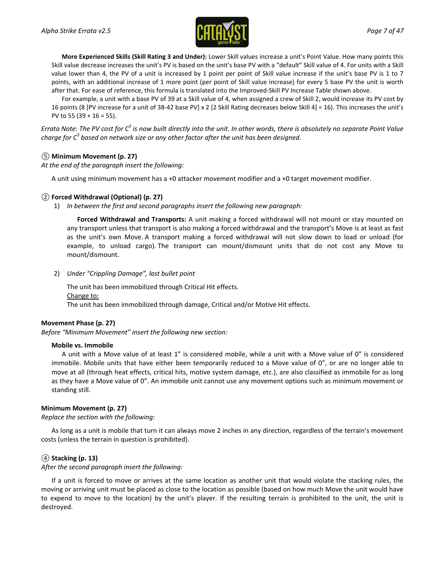

**More Experienced Skills (Skill Rating 3 and Under):** Lower Skill values increase a unit's Point Value. How many points this Skill value decrease increases the unit's PV is based on the unit's base PV with a "default" Skill value of 4. For units with a Skill value lower than 4, the PV of a unit is increased by 1 point per point of Skill value increase if the unit's base PV is 1 to 7 points, with an additional increase of 1 more point (per point of Skill value increase) for every 5 base PV the unit is worth after that. For ease of reference, this formula is translated into the Improved-Skill PV Increase Table shown above.

For example, a unit with a base PV of 39 at a Skill value of 4, when assigned a crew of Skill 2, would increase its PV cost by 16 points (8 [PV increase for a unit of 38-42 base PV] x 2 [2 Skill Rating decreases below Skill 4] = 16). This increases the unit's PV to 55 (39 + 16 = 55).

*Errata Note: The PV cost for C3 is now built directly into the unit. In other words, there is absolutely no separate Point Value charge for C3 based on network size or any other factor after the unit has been designed.*

### *⑤* **Minimum Movement (p. 27)**

*At the end of the paragraph insert the following:*

A unit using minimum movement has a +0 attacker movement modifier and a +0 target movement modifier.

### *②* **Forced Withdrawal (Optional) (p. 27)**

1) *In between the first and second paragraphs insert the following new paragraph:*

**Forced Withdrawal and Transports:** A unit making a forced withdrawal will not mount or stay mounted on any transport unless that transport is also making a forced withdrawal and the transport's Move is at least as fast as the unit's own Move. A transport making a forced withdrawal will not slow down to load or unload (for example, to unload cargo). The transport can mount/dismount units that do not cost any Move to mount/dismount.

2) *Under "Crippling Damage", last bullet point*

The unit has been immobilized through Critical Hit effects. Change to: The unit has been immobilized through damage, Critical and/or Motive Hit effects.

### **Movement Phase (p. 27)**

*Before "Minimum Movement" insert the following new section:*

#### **Mobile vs. Immobile**

A unit with a Move value of at least 1" is considered mobile, while a unit with a Move value of 0" is considered immobile. Mobile units that have either been temporarily reduced to a Move value of 0", or are no longer able to move at all (through heat effects, critical hits, motive system damage, etc.), are also classified as immobile for as long as they have a Move value of 0". An immobile unit cannot use any movement options such as minimum movement or standing still.

### **Minimum Movement (p. 27)**

*Replace the section with the following:*

As long as a unit is mobile that turn it can always move 2 inches in any direction, regardless of the terrain's movement costs (unless the terrain in question is prohibited).

### *④* **Stacking (p. 13)**

*After the second paragraph insert the following:*

If a unit is forced to move or arrives at the same location as another unit that would violate the stacking rules, the moving or arriving unit must be placed as close to the location as possible (based on how much Move the unit would have to expend to move to the location) by the unit's player. If the resulting terrain is prohibited to the unit, the unit is destroyed.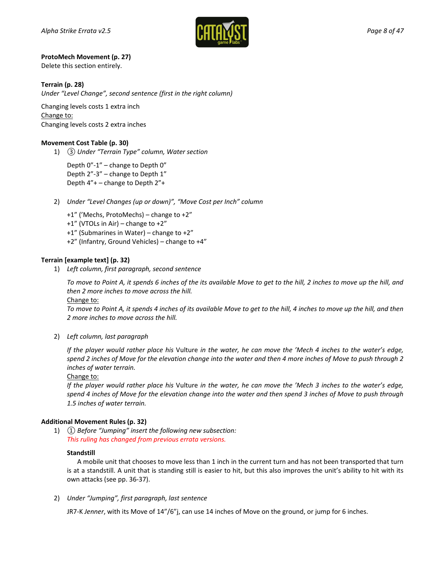

### **ProtoMech Movement (p. 27)**

Delete this section entirely.

### **Terrain (p. 28)**

*Under "Level Change", second sentence (first in the right column)*

Changing levels costs 1 extra inch Change to: Changing levels costs 2 extra inches

### **Movement Cost Table (p. 30)**

1) *③ Under "Terrain Type" column, Water section*

Depth 0"-1" – change to Depth 0" Depth 2"-3" – change to Depth 1" Depth 4"+ – change to Depth 2"+

- 2) *Under "Level Changes (up or down)", "Move Cost per Inch" column*
	- +1" ('Mechs, ProtoMechs) change to +2"
	- +1" (VTOLs in Air) change to +2"
	- +1" (Submarines in Water) change to +2"
	- +2" (Infantry, Ground Vehicles) change to +4"

### **Terrain [example text] (p. 32)**

1) *Left column, first paragraph, second sentence*

*To move to Point A, it spends 6 inches of the its available Move to get to the hill, 2 inches to move up the hill, and then 2 more inches to move across the hill.*

#### Change to:

*To move to Point A, it spends 4 inches of its available Move to get to the hill, 4 inches to move up the hill, and then 2 more inches to move across the hill.*

2) *Left column, last paragraph*

*If the player would rather place his* Vulture *in the water, he can move the 'Mech 4 inches to the water's edge, spend 2 inches of Move for the elevation change into the water and then 4 more inches of Move to push through 2 inches of water terrain.*

#### Change to:

*If the player would rather place his* Vulture *in the water, he can move the 'Mech 3 inches to the water's edge, spend 4 inches of Move for the elevation change into the water and then spend 3 inches of Move to push through 1.5 inches of water terrain.*

### **Additional Movement Rules (p. 32)**

1) *① Before "Jumping" insert the following new subsection: This ruling has changed from previous errata versions.*

### **Standstill**

A mobile unit that chooses to move less than 1 inch in the current turn and has not been transported that turn is at a standstill. A unit that is standing still is easier to hit, but this also improves the unit's ability to hit with its own attacks (see pp. 36-37).

2) *Under "Jumping", first paragraph, last sentence*

JR7-K *Jenner*, with its Move of 14"/6"j, can use 14 inches of Move on the ground, or jump for 6 inches.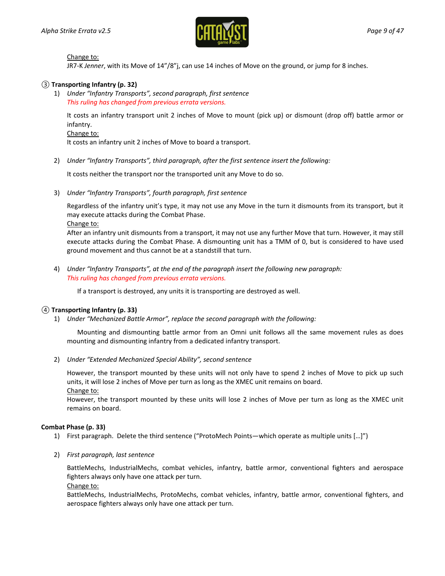

### Change to:

JR7-K *Jenner*, with its Move of 14"/8"j, can use 14 inches of Move on the ground, or jump for 8 inches.

### *③* **Transporting Infantry (p. 32)**

1) *Under "Infantry Transports", second paragraph, first sentence This ruling has changed from previous errata versions.*

It costs an infantry transport unit 2 inches of Move to mount (pick up) or dismount (drop off) battle armor or infantry.

### Change to:

It costs an infantry unit 2 inches of Move to board a transport.

2) *Under "Infantry Transports", third paragraph, after the first sentence insert the following:*

It costs neither the transport nor the transported unit any Move to do so.

3) *Under "Infantry Transports", fourth paragraph, first sentence*

Regardless of the infantry unit's type, it may not use any Move in the turn it dismounts from its transport, but it may execute attacks during the Combat Phase.

Change to:

After an infantry unit dismounts from a transport, it may not use any further Move that turn. However, it may still execute attacks during the Combat Phase. A dismounting unit has a TMM of 0, but is considered to have used ground movement and thus cannot be at a standstill that turn.

4) *Under "Infantry Transports", at the end of the paragraph insert the following new paragraph: This ruling has changed from previous errata versions.*

If a transport is destroyed, any units it is transporting are destroyed as well.

### *④* **Transporting Infantry (p. 33)**

1) *Under "Mechanized Battle Armor", replace the second paragraph with the following:*

Mounting and dismounting battle armor from an Omni unit follows all the same movement rules as does mounting and dismounting infantry from a dedicated infantry transport.

2) *Under "Extended Mechanized Special Ability", second sentence*

However, the transport mounted by these units will not only have to spend 2 inches of Move to pick up such units, it will lose 2 inches of Move per turn as long as the XMEC unit remains on board.

Change to:

However, the transport mounted by these units will lose 2 inches of Move per turn as long as the XMEC unit remains on board.

### **Combat Phase (p. 33)**

- 1) First paragraph. Delete the third sentence ("ProtoMech Points—which operate as multiple units […]")
- 2) *First paragraph, last sentence*

BattleMechs, IndustrialMechs, combat vehicles, infantry, battle armor, conventional fighters and aerospace fighters always only have one attack per turn.

Change to:

BattleMechs, IndustrialMechs, ProtoMechs, combat vehicles, infantry, battle armor, conventional fighters, and aerospace fighters always only have one attack per turn.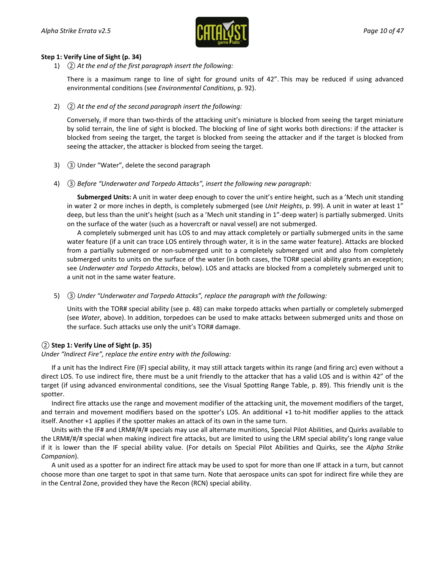

### **Step 1: Verify Line of Sight (p. 34)**

1) *② At the end of the first paragraph insert the following:*

There is a maximum range to line of sight for ground units of 42". This may be reduced if using advanced environmental conditions (see *Environmental Conditions*, p. 92).

2) *② At the end of the second paragraph insert the following:*

Conversely, if more than two-thirds of the attacking unit's miniature is blocked from seeing the target miniature by solid terrain, the line of sight is blocked. The blocking of line of sight works both directions: if the attacker is blocked from seeing the target, the target is blocked from seeing the attacker and if the target is blocked from seeing the attacker, the attacker is blocked from seeing the target.

- 3) *③* Under "Water", delete the second paragraph
- 4) *③ Before "Underwater and Torpedo Attacks", insert the following new paragraph:*

**Submerged Units:** A unit in water deep enough to cover the unit's entire height, such as a 'Mech unit standing in water 2 or more inches in depth, is completely submerged (see *Unit Heights*, p. 99). A unit in water at least 1" deep, but less than the unit's height (such as a 'Mech unit standing in 1"-deep water) is partially submerged. Units on the surface of the water (such as a hovercraft or naval vessel) are not submerged.

A completely submerged unit has LOS to and may attack completely or partially submerged units in the same water feature (if a unit can trace LOS entirely through water, it is in the same water feature). Attacks are blocked from a partially submerged or non-submerged unit to a completely submerged unit and also from completely submerged units to units on the surface of the water (in both cases, the TOR# special ability grants an exception; see *Underwater and Torpedo Attacks*, below). LOS and attacks are blocked from a completely submerged unit to a unit not in the same water feature.

5) *③ Under "Underwater and Torpedo Attacks", replace the paragraph with the following:*

Units with the TOR# special ability (see p. 48) can make torpedo attacks when partially or completely submerged (see *Water*, above). In addition, torpedoes can be used to make attacks between submerged units and those on the surface. Such attacks use only the unit's TOR# damage.

### *②* **Step 1: Verify Line of Sight (p. 35)**

*Under "Indirect Fire", replace the entire entry with the following:*

If a unit has the Indirect Fire (IF) special ability, it may still attack targets within its range (and firing arc) even without a direct LOS. To use indirect fire, there must be a unit friendly to the attacker that has a valid LOS and is within 42" of the target (if using advanced environmental conditions, see the Visual Spotting Range Table, p. 89). This friendly unit is the spotter.

Indirect fire attacks use the range and movement modifier of the attacking unit, the movement modifiers of the target, and terrain and movement modifiers based on the spotter's LOS. An additional +1 to-hit modifier applies to the attack itself. Another +1 applies if the spotter makes an attack of its own in the same turn.

Units with the IF# and LRM#/#/# specials may use all alternate munitions, Special Pilot Abilities, and Quirks available to the LRM#/#/# special when making indirect fire attacks, but are limited to using the LRM special ability's long range value if it is lower than the IF special ability value. (For details on Special Pilot Abilities and Quirks, see the *Alpha Strike Companion*).

A unit used as a spotter for an indirect fire attack may be used to spot for more than one IF attack in a turn, but cannot choose more than one target to spot in that same turn. Note that aerospace units can spot for indirect fire while they are in the Central Zone, provided they have the Recon (RCN) special ability.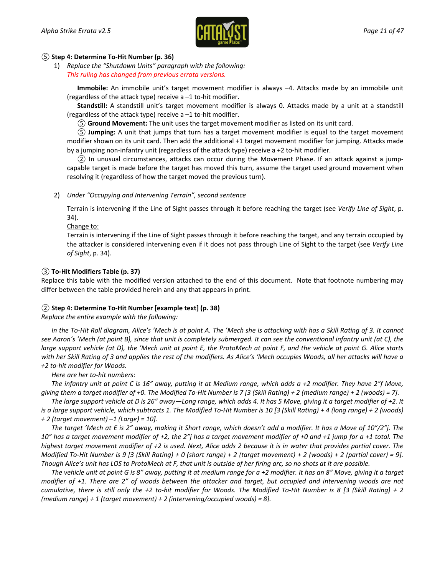

### *⑤* **Step 4: Determine To-Hit Number (p. 36)**

1) *Replace the "Shutdown Units" paragraph with the following: This ruling has changed from previous errata versions.*

**Immobile:** An immobile unit's target movement modifier is always –4. Attacks made by an immobile unit (regardless of the attack type) receive a –1 to-hit modifier.

**Standstill:** A standstill unit's target movement modifier is always 0. Attacks made by a unit at a standstill (regardless of the attack type) receive a –1 to-hit modifier.

*⑤* **Ground Movement:** The unit uses the target movement modifier as listed on its unit card.

*⑤* **Jumping:** A unit that jumps that turn has a target movement modifier is equal to the target movement modifier shown on its unit card. Then add the additional +1 target movement modifier for jumping. Attacks made by a jumping non-infantry unit (regardless of the attack type) receive a +2 to-hit modifier.

*②* In unusual circumstances, attacks can occur during the Movement Phase. If an attack against a jumpcapable target is made before the target has moved this turn, assume the target used ground movement when resolving it (regardless of how the target moved the previous turn).

### 2) *Under "Occupying and Intervening Terrain", second sentence*

Terrain is intervening if the Line of Sight passes through it before reaching the target (see *Verify Line of Sight*, p. 34).

#### Change to:

Terrain is intervening if the Line of Sight passes through it before reaching the target, and any terrain occupied by the attacker is considered intervening even if it does not pass through Line of Sight to the target (see *Verify Line of Sight*, p. 34).

### *③* **To-Hit Modifiers Table (p. 37)**

Replace this table with the modified version attached to the end of this document. Note that footnote numbering may differ between the table provided herein and any that appears in print.

### *②* **Step 4: Determine To-Hit Number [example text] (p. 38)**

*Replace the entire example with the following:*

*In the To-Hit Roll diagram, Alice's 'Mech is at point A. The 'Mech she is attacking with has a Skill Rating of 3. It cannot see Aaron's 'Mech (at point B), since that unit is completely submerged. It can see the conventional infantry unit (at C), the large support vehicle (at D), the 'Mech unit at point E, the ProtoMech at point F, and the vehicle at point G. Alice starts with her Skill Rating of 3 and applies the rest of the modifiers. As Alice's 'Mech occupies Woods, all her attacks will have a +2 to-hit modifier for Woods.*

*Here are her to-hit numbers:*

*The infantry unit at point C is 16" away, putting it at Medium range, which adds a +2 modifier. They have 2"f Move, giving them a target modifier of +0. The Modified To-Hit Number is 7 [3 (Skill Rating) + 2 (medium range) + 2 (woods) = 7].*

*The large support vehicle at D is 26" away—Long range, which adds 4. It has 5 Move, giving it a target modifier of +2. It is a large support vehicle, which subtracts 1. The Modified To-Hit Number is 10 [3 (Skill Rating) + 4 (long range) + 2 (woods) + 2 (target movement) –1 (Large) = 10].*

*The target 'Mech at E is 2" away, making it Short range, which doesn't add a modifier. It has a Move of 10"/2"j. The 10" has a target movement modifier of +2, the 2"j has a target movement modifier of +0 and +1 jump for a +1 total. The highest target movement modifier of +2 is used. Next, Alice adds 2 because it is in water that provides partial cover. The Modified To-Hit Number is 9 [3 (Skill Rating) + 0 (short range) + 2 (target movement) + 2 (woods) + 2 (partial cover) = 9]. Though Alice's unit has LOS to ProtoMech at F, that unit is outside of her firing arc, so no shots at it are possible.*

*The vehicle unit at point G is 8" away, putting it at medium range for a +2 modifier. It has an 8" Move, giving it a target modifier of +1. There are 2" of woods between the attacker and target, but occupied and intervening woods are not cumulative, there is still only the +2 to-hit modifier for Woods. The Modified To-Hit Number is 8 [3 (Skill Rating) + 2 (medium range) + 1 (target movement) + 2 (intervening/occupied woods) = 8].*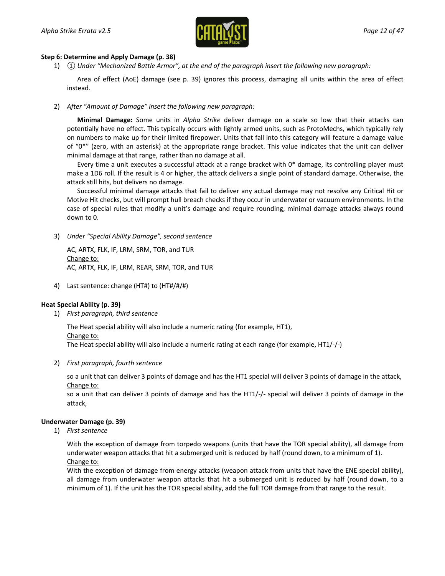

#### **Step 6: Determine and Apply Damage (p. 38)**

1) *① Under "Mechanized Battle Armor", at the end of the paragraph insert the following new paragraph:*

Area of effect (AoE) damage (see p. 39) ignores this process, damaging all units within the area of effect instead.

2) *After "Amount of Damage" insert the following new paragraph:*

**Minimal Damage:** Some units in *Alpha Strike* deliver damage on a scale so low that their attacks can potentially have no effect. This typically occurs with lightly armed units, such as ProtoMechs, which typically rely on numbers to make up for their limited firepower. Units that fall into this category will feature a damage value of "0\*" (zero, with an asterisk) at the appropriate range bracket. This value indicates that the unit can deliver minimal damage at that range, rather than no damage at all.

Every time a unit executes a successful attack at a range bracket with 0\* damage, its controlling player must make a 1D6 roll. If the result is 4 or higher, the attack delivers a single point of standard damage. Otherwise, the attack still hits, but delivers no damage.

Successful minimal damage attacks that fail to deliver any actual damage may not resolve any Critical Hit or Motive Hit checks, but will prompt hull breach checks if they occur in underwater or vacuum environments. In the case of special rules that modify a unit's damage and require rounding, minimal damage attacks always round down to 0.

3) *Under "Special Ability Damage", second sentence*

AC, ARTX, FLK, IF, LRM, SRM, TOR, and TUR Change to: AC, ARTX, FLK, IF, LRM, REAR, SRM, TOR, and TUR

4) Last sentence: change (HT#) to (HT#/#/#)

#### **Heat Special Ability (p. 39)**

1) *First paragraph, third sentence*

The Heat special ability will also include a numeric rating (for example, HT1),

Change to:

The Heat special ability will also include a numeric rating at each range (for example, HT1/-/-)

2) *First paragraph, fourth sentence*

so a unit that can deliver 3 points of damage and has the HT1 special will deliver 3 points of damage in the attack, Change to:

so a unit that can deliver 3 points of damage and has the HT1/-/- special will deliver 3 points of damage in the attack,

#### **Underwater Damage (p. 39)**

1) *First sentence*

With the exception of damage from torpedo weapons (units that have the TOR special ability), all damage from underwater weapon attacks that hit a submerged unit is reduced by half (round down, to a minimum of 1). Change to:

With the exception of damage from energy attacks (weapon attack from units that have the ENE special ability), all damage from underwater weapon attacks that hit a submerged unit is reduced by half (round down, to a minimum of 1). If the unit has the TOR special ability, add the full TOR damage from that range to the result.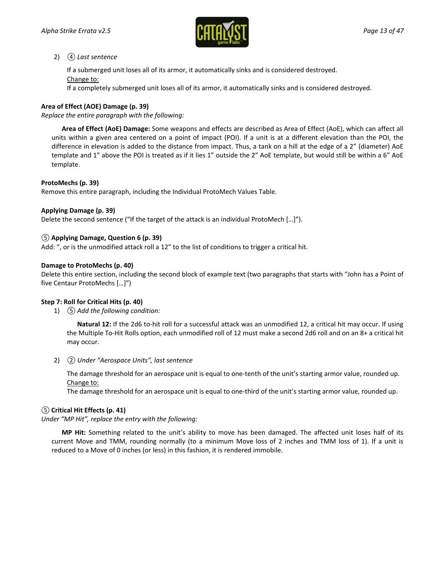

### 2) *④ Last sentence*

If a submerged unit loses all of its armor, it automatically sinks and is considered destroyed. Change to:

If a completely submerged unit loses all of its armor, it automatically sinks and is considered destroyed.

### **Area of Effect (AOE) Damage (p. 39)**

*Replace the entire paragraph with the following:*

**Area of Effect (AoE) Damage:** Some weapons and effects are described as Area of Effect (AoE), which can affect all units within a given area centered on a point of impact (POI). If a unit is at a different elevation than the POI, the difference in elevation is added to the distance from impact. Thus, a tank on a hill at the edge of a 2" (diameter) AoE template and 1" above the POI is treated as if it lies 1" outside the 2" AoE template, but would still be within a 6" AoE template.

### **ProtoMechs (p. 39)**

Remove this entire paragraph, including the Individual ProtoMech Values Table.

### **Applying Damage (p. 39)**

Delete the second sentence ("If the target of the attack is an individual ProtoMech […]").

### *⑤* **Applying Damage, Question 6 (p. 39)**

Add: ", or is the unmodified attack roll a 12" to the list of conditions to trigger a critical hit.

### **Damage to ProtoMechs (p. 40)**

Delete this entire section, including the second block of example text (two paragraphs that starts with "John has a Point of five Centaur ProtoMechs […]")

### **Step 7: Roll for Critical Hits (p. 40)**

1) *⑤ Add the following condition:*

**Natural 12:** If the 2d6 to-hit roll for a successful attack was an unmodified 12, a critical hit may occur. If using the Multiple To-Hit Rolls option, each unmodified roll of 12 must make a second 2d6 roll and on an 8+ a critical hit may occur.

2) *② Under "Aerospace Units", last sentence*

The damage threshold for an aerospace unit is equal to one-tenth of the unit's starting armor value, rounded up. Change to:

The damage threshold for an aerospace unit is equal to one-third of the unit's starting armor value, rounded up.

### *⑤* **Critical Hit Effects (p. 41)**

*Under "MP Hit", replace the entry with the following:*

**MP Hit:** Something related to the unit's ability to move has been damaged. The affected unit loses half of its current Move and TMM, rounding normally (to a minimum Move loss of 2 inches and TMM loss of 1). If a unit is reduced to a Move of 0 inches (or less) in this fashion, it is rendered immobile.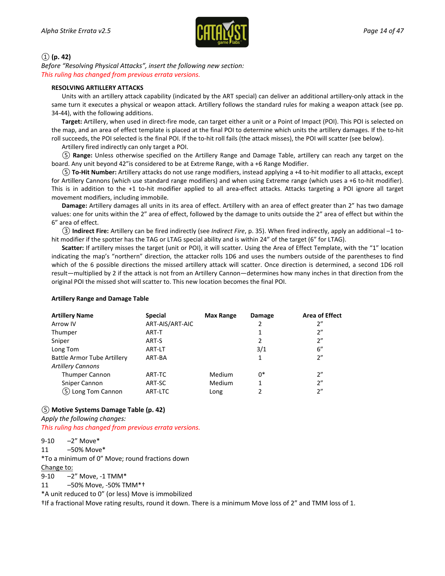

### *①* **(p. 42)**

*Before "Resolving Physical Attacks", insert the following new section: This ruling has changed from previous errata versions.*

#### **RESOLVING ARTILLERY ATTACKS**

Units with an artillery attack capability (indicated by the ART special) can deliver an additional artillery-only attack in the same turn it executes a physical or weapon attack. Artillery follows the standard rules for making a weapon attack (see pp. 34-44), with the following additions.

**Target:** Artillery, when used in direct-fire mode, can target either a unit or a Point of Impact (POI). This POI is selected on the map, and an area of effect template is placed at the final POI to determine which units the artillery damages. If the to-hit roll succeeds, the POI selected is the final POI. If the to-hit roll fails (the attack misses), the POI will scatter (see below).

Artillery fired indirectly can only target a POI.

*⑤* **Range:** Unless otherwise specified on the Artillery Range and Damage Table, artillery can reach any target on the board. Any unit beyond 42"is considered to be at Extreme Range, with a +6 Range Modifier.

*⑤* **To-Hit Number:** Artillery attacks do not use range modifiers, instead applying a +4 to-hit modifier to all attacks, except for Artillery Cannons (which use standard range modifiers) and when using Extreme range (which uses a +6 to-hit modifier). This is in addition to the +1 to-hit modifier applied to all area-effect attacks. Attacks targeting a POI ignore all target movement modifiers, including immobile.

**Damage:** Artillery damages all units in its area of effect. Artillery with an area of effect greater than 2" has two damage values: one for units within the 2" area of effect, followed by the damage to units outside the 2" area of effect but within the 6" area of effect.

*③* **Indirect Fire:** Artillery can be fired indirectly (see *Indirect Fire*, p. 35). When fired indirectly, apply an additional –1 tohit modifier if the spotter has the TAG or LTAG special ability and is within 24" of the target (6" for LTAG).

**Scatter:** If artillery misses the target (unit or POI), it will scatter. Using the Area of Effect Template, with the "1" location indicating the map's "northern" direction, the attacker rolls 1D6 and uses the numbers outside of the parentheses to find which of the 6 possible directions the missed artillery attack will scatter. Once direction is determined, a second 1D6 roll result—multiplied by 2 if the attack is not from an Artillery Cannon—determines how many inches in that direction from the original POI the missed shot will scatter to. This new location becomes the final POI.

#### **Artillery Range and Damage Table**

| <b>Artillery Name</b>       | <b>Special</b>  | <b>Max Range</b> | Damage | <b>Area of Effect</b> |
|-----------------------------|-----------------|------------------|--------|-----------------------|
| Arrow IV                    | ART-AIS/ART-AIC |                  | 2      | 2"                    |
| Thumper                     | ART-T           |                  | 1      | 2"                    |
| Sniper                      | ART-S           |                  | 2      | 2"                    |
| Long Tom                    | ART-LT          |                  | 3/1    | 6''                   |
| Battle Armor Tube Artillery | ART-BA          |                  | 1      | 2"                    |
| <b>Artillery Cannons</b>    |                 |                  |        |                       |
| <b>Thumper Cannon</b>       | ART-TC          | Medium           | 0*     | 2"                    |
| Sniper Cannon               | ART-SC          | Medium           | 1      | 2"                    |
| (5) Long Tom Cannon         | ART-LTC         | Long             | 2      | 2"                    |

### *⑤* **Motive Systems Damage Table (p. 42)**

*Apply the following changes: This ruling has changed from previous errata versions.*

9-10 –2" Move\* 11 –50% Move\* \*To a minimum of 0" Move; round fractions down Change to: 9-10 –2" Move, -1 TMM\* 11 –50% Move, -50% TMM\*† \*A unit reduced to 0" (or less) Move is immobilized

†If a fractional Move rating results, round it down. There is a minimum Move loss of 2" and TMM loss of 1.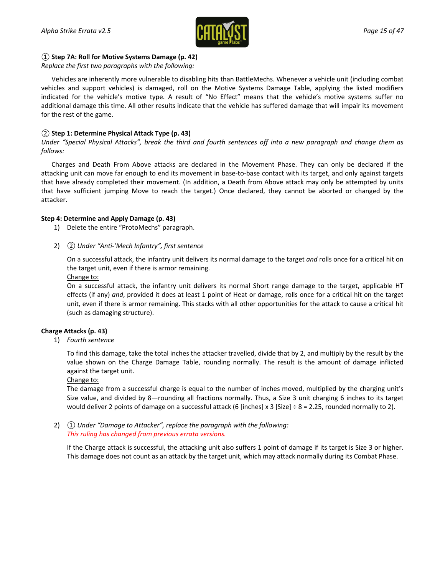

### *①* **Step 7A: Roll for Motive Systems Damage (p. 42)**

*Replace the first two paragraphs with the following:*

Vehicles are inherently more vulnerable to disabling hits than BattleMechs. Whenever a vehicle unit (including combat vehicles and support vehicles) is damaged, roll on the Motive Systems Damage Table, applying the listed modifiers indicated for the vehicle's motive type. A result of "No Effect" means that the vehicle's motive systems suffer no additional damage this time. All other results indicate that the vehicle has suffered damage that will impair its movement for the rest of the game.

### *②* **Step 1: Determine Physical Attack Type (p. 43)**

*Under "Special Physical Attacks", break the third and fourth sentences off into a new paragraph and change them as follows:*

Charges and Death From Above attacks are declared in the Movement Phase. They can only be declared if the attacking unit can move far enough to end its movement in base-to-base contact with its target, and only against targets that have already completed their movement. (In addition, a Death from Above attack may only be attempted by units that have sufficient jumping Move to reach the target.) Once declared, they cannot be aborted or changed by the attacker.

### **Step 4: Determine and Apply Damage (p. 43)**

- 1) Delete the entire "ProtoMechs" paragraph.
- 2) *② Under "Anti-'Mech Infantry", first sentence*

On a successful attack, the infantry unit delivers its normal damage to the target *and* rolls once for a critical hit on the target unit, even if there is armor remaining.

Change to:

On a successful attack, the infantry unit delivers its normal Short range damage to the target, applicable HT effects (if any) *and*, provided it does at least 1 point of Heat or damage, rolls once for a critical hit on the target unit, even if there is armor remaining. This stacks with all other opportunities for the attack to cause a critical hit (such as damaging structure).

### **Charge Attacks (p. 43)**

1) *Fourth sentence*

To find this damage, take the total inches the attacker travelled, divide that by 2, and multiply by the result by the value shown on the Charge Damage Table, rounding normally. The result is the amount of damage inflicted against the target unit.

#### Change to:

The damage from a successful charge is equal to the number of inches moved, multiplied by the charging unit's Size value, and divided by 8—rounding all fractions normally. Thus, a Size 3 unit charging 6 inches to its target would deliver 2 points of damage on a successful attack (6 [inches] x 3 [Size]  $\div$  8 = 2.25, rounded normally to 2).

2) *① Under "Damage to Attacker", replace the paragraph with the following: This ruling has changed from previous errata versions.*

If the Charge attack is successful, the attacking unit also suffers 1 point of damage if its target is Size 3 or higher. This damage does not count as an attack by the target unit, which may attack normally during its Combat Phase.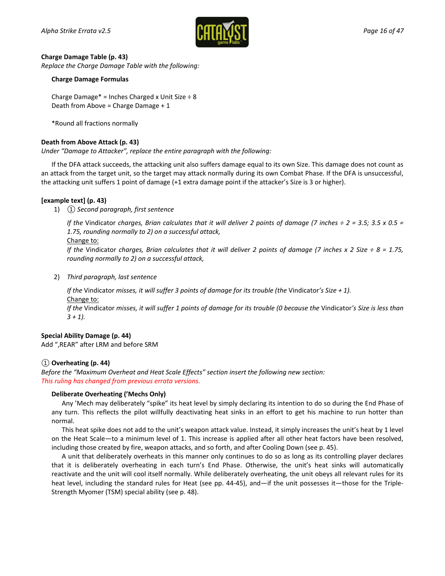

#### **Charge Damage Table (p. 43)**

*Replace the Charge Damage Table with the following:*

#### **Charge Damage Formulas**

Charge Damage<sup>\*</sup> = Inches Charged x Unit Size  $\div$  8 Death from Above = Charge Damage + 1

\*Round all fractions normally

### **Death from Above Attack (p. 43)**

*Under "Damage to Attacker", replace the entire paragraph with the following:*

If the DFA attack succeeds, the attacking unit also suffers damage equal to its own Size. This damage does not count as an attack from the target unit, so the target may attack normally during its own Combat Phase. If the DFA is unsuccessful, the attacking unit suffers 1 point of damage (+1 extra damage point if the attacker's Size is 3 or higher).

### **[example text] (p. 43)**

1) *① Second paragraph, first sentence*

*If the* Vindicator *charges, Brian calculates that it will deliver 2 points of damage (7 inches ÷ 2 = 3.5; 3.5 x 0.5 = 1.75, rounding normally to 2) on a successful attack,*

#### Change to:

*If the* Vindicator *charges, Brian calculates that it will deliver 2 points of damage (7 inches x 2 Size ÷ 8 = 1.75, rounding normally to 2) on a successful attack,*

2) *Third paragraph, last sentence*

*If the* Vindicator *misses, it will suffer 3 points of damage for its trouble (the* Vindicator*'s Size + 1).* Change to: *If the* Vindicator *misses, it will suffer 1 points of damage for its trouble (0 because the* Vindicator*'s Size is less than* 

*3 + 1).*

#### **Special Ability Damage (p. 44)**

Add ",REAR" after LRM and before SRM

### *①* **Overheating (p. 44)**

*Before the "Maximum Overheat and Heat Scale Effects" section insert the following new section: This ruling has changed from previous errata versions.*

#### **Deliberate Overheating ('Mechs Only)**

Any 'Mech may deliberately "spike" its heat level by simply declaring its intention to do so during the End Phase of any turn. This reflects the pilot willfully deactivating heat sinks in an effort to get his machine to run hotter than normal.

This heat spike does not add to the unit's weapon attack value. Instead, it simply increases the unit's heat by 1 level on the Heat Scale—to a minimum level of 1. This increase is applied after all other heat factors have been resolved, including those created by fire, weapon attacks, and so forth, and after Cooling Down (see p. 45).

A unit that deliberately overheats in this manner only continues to do so as long as its controlling player declares that it is deliberately overheating in each turn's End Phase. Otherwise, the unit's heat sinks will automatically reactivate and the unit will cool itself normally. While deliberately overheating, the unit obeys all relevant rules for its heat level, including the standard rules for Heat (see pp. 44-45), and—if the unit possesses it—those for the Triple-Strength Myomer (TSM) special ability (see p. 48).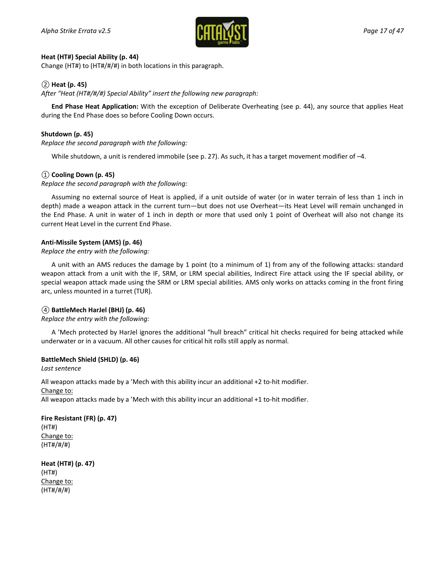

### **Heat (HT#) Special Ability (p. 44)**

Change (HT#) to (HT#/#/#) in both locations in this paragraph.

### *②* **Heat (p. 45)**

*After "Heat (HT#/#/#) Special Ability" insert the following new paragraph:*

**End Phase Heat Application:** With the exception of Deliberate Overheating (see p. 44), any source that applies Heat during the End Phase does so before Cooling Down occurs.

### **Shutdown (p. 45)**

*Replace the second paragraph with the following:*

While shutdown, a unit is rendered immobile (see p. 27). As such, it has a target movement modifier of -4.

### *①* **Cooling Down (p. 45)**

*Replace the second paragraph with the following:*

Assuming no external source of Heat is applied, if a unit outside of water (or in water terrain of less than 1 inch in depth) made a weapon attack in the current turn—but does not use Overheat—its Heat Level will remain unchanged in the End Phase. A unit in water of 1 inch in depth or more that used only 1 point of Overheat will also not change its current Heat Level in the current End Phase.

### **Anti-Missile System (AMS) (p. 46)**

### *Replace the entry with the following:*

A unit with an AMS reduces the damage by 1 point (to a minimum of 1) from any of the following attacks: standard weapon attack from a unit with the IF, SRM, or LRM special abilities, Indirect Fire attack using the IF special ability, or special weapon attack made using the SRM or LRM special abilities. AMS only works on attacks coming in the front firing arc, unless mounted in a turret (TUR).

### *④* **BattleMech HarJel (BHJ) (p. 46)**

### *Replace the entry with the following:*

A 'Mech protected by HarJel ignores the additional "hull breach" critical hit checks required for being attacked while underwater or in a vacuum. All other causes for critical hit rolls still apply as normal.

### **BattleMech Shield (SHLD) (p. 46)**

*Last sentence*

All weapon attacks made by a 'Mech with this ability incur an additional +2 to-hit modifier.

#### Change to:

All weapon attacks made by a 'Mech with this ability incur an additional +1 to-hit modifier.

**Fire Resistant (FR) (p. 47)** (HT#) Change to: (HT#/#/#)

**Heat (HT#) (p. 47)** (HT#) Change to: (HT#/#/#)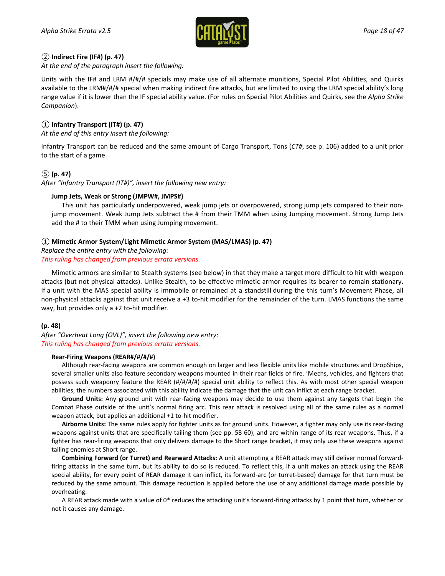

### *②* **Indirect Fire (IF#) (p. 47)**

*At the end of the paragraph insert the following:*

Units with the IF# and LRM #/#/# specials may make use of all alternate munitions, Special Pilot Abilities, and Quirks available to the LRM#/#/# special when making indirect fire attacks, but are limited to using the LRM special ability's long range value if it is lower than the IF special ability value. (For rules on Special Pilot Abilities and Quirks, see the *Alpha Strike Companion*).

### *①* **Infantry Transport (IT#) (p. 47)**

*At the end of this entry insert the following:*

Infantry Transport can be reduced and the same amount of Cargo Transport, Tons (*CT#*, see p. 106) added to a unit prior to the start of a game.

### *⑤* **(p. 47)**

*After "Infantry Transport (IT#)", insert the following new entry:*

### **Jump Jets, Weak or Strong (JMPW#, JMPS#)**

This unit has particularly underpowered, weak jump jets or overpowered, strong jump jets compared to their nonjump movement. Weak Jump Jets subtract the # from their TMM when using Jumping movement. Strong Jump Jets add the # to their TMM when using Jumping movement.

### *①* **Mimetic Armor System/Light Mimetic Armor System (MAS/LMAS) (p. 47)**

*Replace the entire entry with the following: This ruling has changed from previous errata versions.*

Mimetic armors are similar to Stealth systems (see below) in that they make a target more difficult to hit with weapon attacks (but not physical attacks). Unlike Stealth, to be effective mimetic armor requires its bearer to remain stationary. If a unit with the MAS special ability is immobile or remained at a standstill during the this turn's Movement Phase, all non-physical attacks against that unit receive a +3 to-hit modifier for the remainder of the turn. LMAS functions the same way, but provides only a +2 to-hit modifier.

### **(p. 48)**

*After "Overheat Long (OVL)", insert the following new entry: This ruling has changed from previous errata versions.*

#### **Rear-Firing Weapons (REAR#/#/#/#)**

Although rear-facing weapons are common enough on larger and less flexible units like mobile structures and DropShips, several smaller units also feature secondary weapons mounted in their rear fields of fire. 'Mechs, vehicles, and fighters that possess such weaponry feature the REAR (#/#/#/#) special unit ability to reflect this. As with most other special weapon abilities, the numbers associated with this ability indicate the damage that the unit can inflict at each range bracket.

**Ground Units:** Any ground unit with rear-facing weapons may decide to use them against any targets that begin the Combat Phase outside of the unit's normal firing arc. This rear attack is resolved using all of the same rules as a normal weapon attack, but applies an additional +1 to-hit modifier.

**Airborne Units:** The same rules apply for fighter units as for ground units. However, a fighter may only use its rear-facing weapons against units that are specifically tailing them (see pp. 58-60), and are within range of its rear weapons. Thus, if a fighter has rear-firing weapons that only delivers damage to the Short range bracket, it may only use these weapons against tailing enemies at Short range.

**Combining Forward (or Turret) and Rearward Attacks:** A unit attempting a REAR attack may still deliver normal forwardfiring attacks in the same turn, but its ability to do so is reduced. To reflect this, if a unit makes an attack using the REAR special ability, for every point of REAR damage it can inflict, its forward-arc (or turret-based) damage for that turn must be reduced by the same amount. This damage reduction is applied before the use of any additional damage made possible by overheating.

A REAR attack made with a value of 0\* reduces the attacking unit's forward-firing attacks by 1 point that turn, whether or not it causes any damage.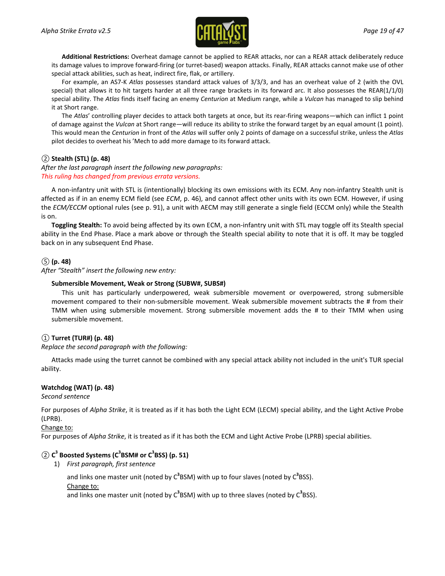

**Additional Restrictions:** Overheat damage cannot be applied to REAR attacks, nor can a REAR attack deliberately reduce its damage values to improve forward-firing (or turret-based) weapon attacks. Finally, REAR attacks cannot make use of other special attack abilities, such as heat, indirect fire, flak, or artillery.

For example, an AS7-K *Atlas* possesses standard attack values of 3/3/3, and has an overheat value of 2 (with the OVL special) that allows it to hit targets harder at all three range brackets in its forward arc. It also possesses the REAR(1/1/0) special ability. The *Atlas* finds itself facing an enemy *Centurion* at Medium range, while a *Vulcan* has managed to slip behind it at Short range.

The *Atlas*' controlling player decides to attack both targets at once, but its rear-firing weapons—which can inflict 1 point of damage against the *Vulcan* at Short range—will reduce its ability to strike the forward target by an equal amount (1 point). This would mean the *Centurion* in front of the *Atlas* will suffer only 2 points of damage on a successful strike, unless the *Atlas* pilot decides to overheat his 'Mech to add more damage to its forward attack.

### *②* **Stealth (STL) (p. 48)**

### *After the last paragraph insert the following new paragraphs: This ruling has changed from previous errata versions.*

A non-infantry unit with STL is (intentionally) blocking its own emissions with its ECM. Any non-infantry Stealth unit is affected as if in an enemy ECM field (see *ECM*, p. 46), and cannot affect other units with its own ECM. However, if using the *ECM/ECCM* optional rules (see p. 91), a unit with AECM may still generate a single field (ECCM only) while the Stealth is on.

**Toggling Stealth:** To avoid being affected by its own ECM, a non-infantry unit with STL may toggle off its Stealth special ability in the End Phase. Place a mark above or through the Stealth special ability to note that it is off. It may be toggled back on in any subsequent End Phase.

### *⑤* **(p. 48)**

*After "Stealth" insert the following new entry:*

### **Submersible Movement, Weak or Strong (SUBW#, SUBS#)**

This unit has particularly underpowered, weak submersible movement or overpowered, strong submersible movement compared to their non-submersible movement. Weak submersible movement subtracts the # from their TMM when using submersible movement. Strong submersible movement adds the # to their TMM when using submersible movement.

### *①* **Turret (TUR#) (p. 48)**

*Replace the second paragraph with the following:*

Attacks made using the turret cannot be combined with any special attack ability not included in the unit's TUR special ability.

### **Watchdog (WAT) (p. 48)**

*Second sentence*

For purposes of *Alpha Strike*, it is treated as if it has both the Light ECM (LECM) special ability, and the Light Active Probe (LPRB).

### Change to:

For purposes of *Alpha Strike*, it is treated as if it has both the ECM and Light Active Probe (LPRB) special abilities.

### *②* **C3 Boosted Systems (C3 BSM# or C3 BSS) (p. 51)**

1) *First paragraph, first sentence*

and links one master unit (noted by C<sup>3</sup>BSM) with up to four slaves (noted by C<sup>3</sup>BSS).

Change to:

and links one master unit (noted by C<sup>3</sup>BSM) with up to three slaves (noted by C<sup>3</sup>BSS).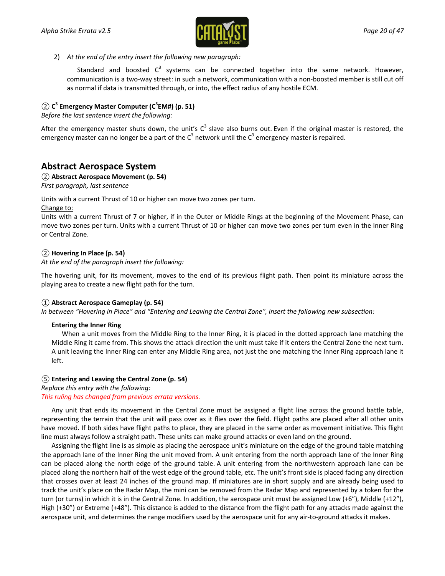

2) *At the end of the entry insert the following new paragraph:*

Standard and boosted  $C^3$  systems can be connected together into the same network. However, communication is a two-way street: in such a network, communication with a non-boosted member is still cut off as normal if data is transmitted through, or into, the effect radius of any hostile ECM.

### $\textcircled{2}$  C<sup>3</sup> Emergency Master Computer (C<sup>3</sup>EM#) (p. 51)

*Before the last sentence insert the following:*

After the emergency master shuts down, the unit's  $C^3$  slave also burns out. Even if the original master is restored, the emergency master can no longer be a part of the  $C^3$  network until the  $C^3$  emergency master is repaired.

## **Abstract Aerospace System**

### *②* **Abstract Aerospace Movement (p. 54)**

*First paragraph, last sentence*

Units with a current Thrust of 10 or higher can move two zones per turn. Change to:

Units with a current Thrust of 7 or higher, if in the Outer or Middle Rings at the beginning of the Movement Phase, can move two zones per turn. Units with a current Thrust of 10 or higher can move two zones per turn even in the Inner Ring or Central Zone.

### *②* **Hovering In Place (p. 54)**

*At the end of the paragraph insert the following:*

The hovering unit, for its movement, moves to the end of its previous flight path. Then point its miniature across the playing area to create a new flight path for the turn.

### *①* **Abstract Aerospace Gameplay (p. 54)**

*In between "Hovering in Place" and "Entering and Leaving the Central Zone", insert the following new subsection:*

### **Entering the Inner Ring**

When a unit moves from the Middle Ring to the Inner Ring, it is placed in the dotted approach lane matching the Middle Ring it came from. This shows the attack direction the unit must take if it enters the Central Zone the next turn. A unit leaving the Inner Ring can enter any Middle Ring area, not just the one matching the Inner Ring approach lane it left.

### *⑤* **Entering and Leaving the Central Zone (p. 54)**

*Replace this entry with the following: This ruling has changed from previous errata versions.*

Any unit that ends its movement in the Central Zone must be assigned a flight line across the ground battle table, representing the terrain that the unit will pass over as it flies over the field. Flight paths are placed after all other units have moved. If both sides have flight paths to place, they are placed in the same order as movement initiative. This flight line must always follow a straight path. These units can make ground attacks or even land on the ground.

Assigning the flight line is as simple as placing the aerospace unit's miniature on the edge of the ground table matching the approach lane of the Inner Ring the unit moved from. A unit entering from the north approach lane of the Inner Ring can be placed along the north edge of the ground table. A unit entering from the northwestern approach lane can be placed along the northern half of the west edge of the ground table, etc. The unit's front side is placed facing any direction that crosses over at least 24 inches of the ground map. If miniatures are in short supply and are already being used to track the unit's place on the Radar Map, the mini can be removed from the Radar Map and represented by a token for the turn (or turns) in which it is in the Central Zone. In addition, the aerospace unit must be assigned Low (+6"), Middle (+12"), High (+30") or Extreme (+48"). This distance is added to the distance from the flight path for any attacks made against the aerospace unit, and determines the range modifiers used by the aerospace unit for any air-to-ground attacks it makes.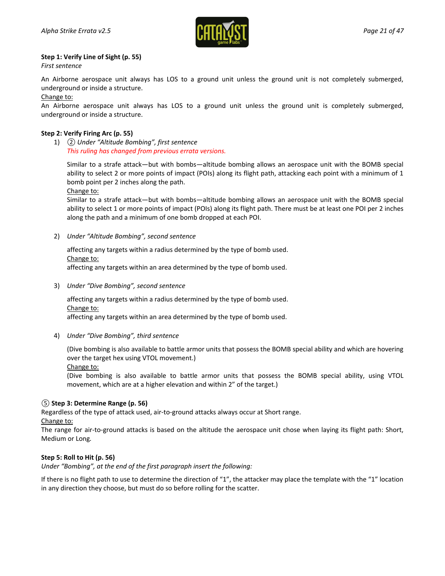

### **Step 1: Verify Line of Sight (p. 55)**

*First sentence*

An Airborne aerospace unit always has LOS to a ground unit unless the ground unit is not completely submerged, underground or inside a structure.

Change to:

An Airborne aerospace unit always has LOS to a ground unit unless the ground unit is completely submerged, underground or inside a structure.

### **Step 2: Verify Firing Arc (p. 55)**

1) *② Under "Altitude Bombing", first sentence This ruling has changed from previous errata versions.*

Similar to a strafe attack—but with bombs—altitude bombing allows an aerospace unit with the BOMB special ability to select 2 or more points of impact (POIs) along its flight path, attacking each point with a minimum of 1 bomb point per 2 inches along the path.

Change to:

Similar to a strafe attack—but with bombs—altitude bombing allows an aerospace unit with the BOMB special ability to select 1 or more points of impact (POIs) along its flight path. There must be at least one POI per 2 inches along the path and a minimum of one bomb dropped at each POI.

2) *Under "Altitude Bombing", second sentence*

affecting any targets within a radius determined by the type of bomb used. Change to: affecting any targets within an area determined by the type of bomb used.

3) *Under "Dive Bombing", second sentence*

affecting any targets within a radius determined by the type of bomb used. Change to:

affecting any targets within an area determined by the type of bomb used.

4) *Under "Dive Bombing", third sentence*

(Dive bombing is also available to battle armor units that possess the BOMB special ability and which are hovering over the target hex using VTOL movement.)

Change to:

(Dive bombing is also available to battle armor units that possess the BOMB special ability, using VTOL movement, which are at a higher elevation and within 2" of the target.)

### *⑤* **Step 3: Determine Range (p. 56)**

Regardless of the type of attack used, air-to-ground attacks always occur at Short range.

Change to:

The range for air-to-ground attacks is based on the altitude the aerospace unit chose when laying its flight path: Short, Medium or Long*.*

### **Step 5: Roll to Hit (p. 56)**

*Under "Bombing", at the end of the first paragraph insert the following:*

If there is no flight path to use to determine the direction of "1", the attacker may place the template with the "1" location in any direction they choose, but must do so before rolling for the scatter.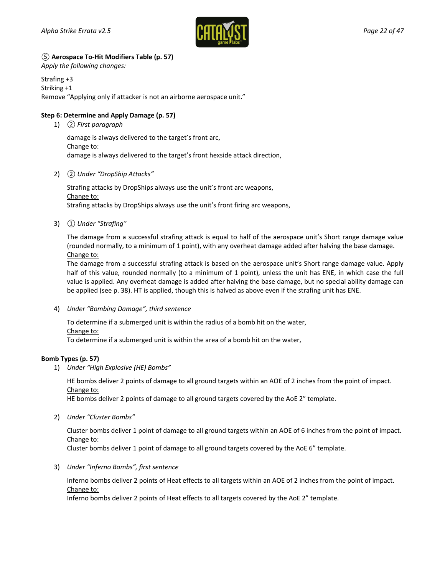

### *⑤* **Aerospace To-Hit Modifiers Table (p. 57)**

*Apply the following changes:*

Strafing +3 Striking +1 Remove "Applying only if attacker is not an airborne aerospace unit."

### **Step 6: Determine and Apply Damage (p. 57)**

1) *② First paragraph*

damage is always delivered to the target's front arc, Change to: damage is always delivered to the target's front hexside attack direction,

2) *② Under "DropShip Attacks"*

Strafing attacks by DropShips always use the unit's front arc weapons, Change to: Strafing attacks by DropShips always use the unit's front firing arc weapons,

3) *① Under "Strafing"*

The damage from a successful strafing attack is equal to half of the aerospace unit's Short range damage value (rounded normally, to a minimum of 1 point), with any overheat damage added after halving the base damage. Change to:

The damage from a successful strafing attack is based on the aerospace unit's Short range damage value. Apply half of this value, rounded normally (to a minimum of 1 point), unless the unit has ENE, in which case the full value is applied. Any overheat damage is added after halving the base damage, but no special ability damage can be applied (see p. 38). HT is applied, though this is halved as above even if the strafing unit has ENE.

4) *Under "Bombing Damage", third sentence*

To determine if a submerged unit is within the radius of a bomb hit on the water, Change to:

To determine if a submerged unit is within the area of a bomb hit on the water,

### **Bomb Types (p. 57)**

1) *Under "High Explosive (HE) Bombs"*

HE bombs deliver 2 points of damage to all ground targets within an AOE of 2 inches from the point of impact. Change to:

HE bombs deliver 2 points of damage to all ground targets covered by the AoE 2" template.

2) *Under "Cluster Bombs"*

Cluster bombs deliver 1 point of damage to all ground targets within an AOE of 6 inches from the point of impact. Change to:

Cluster bombs deliver 1 point of damage to all ground targets covered by the AoE 6" template.

3) *Under "Inferno Bombs", first sentence*

Inferno bombs deliver 2 points of Heat effects to all targets within an AOE of 2 inches from the point of impact. Change to:

Inferno bombs deliver 2 points of Heat effects to all targets covered by the AoE 2" template.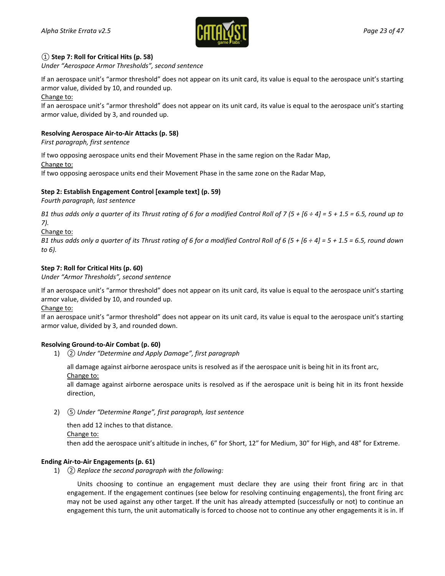

### *①* **Step 7: Roll for Critical Hits (p. 58)**

*Under "Aerospace Armor Thresholds", second sentence*

If an aerospace unit's "armor threshold" does not appear on its unit card, its value is equal to the aerospace unit's starting armor value, divided by 10, and rounded up.

Change to:

If an aerospace unit's "armor threshold" does not appear on its unit card, its value is equal to the aerospace unit's starting armor value, divided by 3, and rounded up.

### **Resolving Aerospace Air-to-Air Attacks (p. 58)**

*First paragraph, first sentence*

If two opposing aerospace units end their Movement Phase in the same region on the Radar Map,

Change to:

If two opposing aerospace units end their Movement Phase in the same zone on the Radar Map,

### **Step 2: Establish Engagement Control [example text] (p. 59)**

*Fourth paragraph, last sentence*

*B1 thus adds only a quarter of its Thrust rating of 6 for a modified Control Roll of 7 (5 + [6 ÷ 4] = 5 + 1.5 = 6.5, round up to 7).*

Change to:

*B1 thus adds only a quarter of its Thrust rating of 6 for a modified Control Roll of 6 (5 + [6 ÷ 4] = 5 + 1.5 = 6.5, round down to 6).*

### **Step 7: Roll for Critical Hits (p. 60)**

*Under "Armor Thresholds", second sentence*

If an aerospace unit's "armor threshold" does not appear on its unit card, its value is equal to the aerospace unit's starting armor value, divided by 10, and rounded up.

Change to:

If an aerospace unit's "armor threshold" does not appear on its unit card, its value is equal to the aerospace unit's starting armor value, divided by 3, and rounded down.

### **Resolving Ground-to-Air Combat (p. 60)**

1) *② Under "Determine and Apply Damage", first paragraph*

all damage against airborne aerospace units is resolved as if the aerospace unit is being hit in its front arc, Change to:

all damage against airborne aerospace units is resolved as if the aerospace unit is being hit in its front hexside direction,

2) *⑤ Under "Determine Range", first paragraph, last sentence*

then add 12 inches to that distance. Change to: then add the aerospace unit's altitude in inches, 6" for Short, 12" for Medium, 30" for High, and 48" for Extreme.

### **Ending Air-to-Air Engagements (p. 61)**

1) *② Replace the second paragraph with the following:*

Units choosing to continue an engagement must declare they are using their front firing arc in that engagement. If the engagement continues (see below for resolving continuing engagements), the front firing arc may not be used against any other target. If the unit has already attempted (successfully or not) to continue an engagement this turn, the unit automatically is forced to choose not to continue any other engagements it is in. If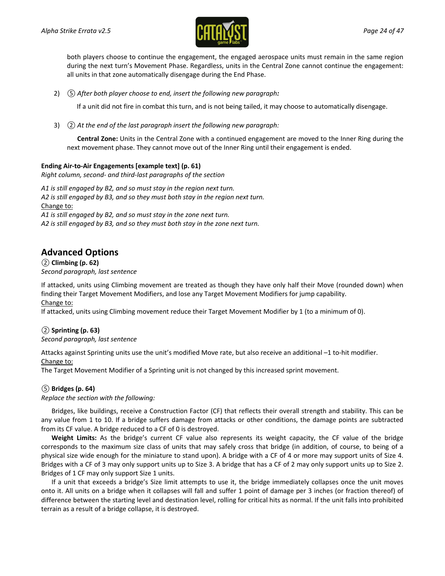

both players choose to continue the engagement, the engaged aerospace units must remain in the same region during the next turn's Movement Phase. Regardless, units in the Central Zone cannot continue the engagement: all units in that zone automatically disengage during the End Phase.

2) *⑤ After both player choose to end, insert the following new paragraph:*

If a unit did not fire in combat this turn, and is not being tailed, it may choose to automatically disengage.

3) *② At the end of the last paragraph insert the following new paragraph:*

**Central Zone:** Units in the Central Zone with a continued engagement are moved to the Inner Ring during the next movement phase. They cannot move out of the Inner Ring until their engagement is ended.

### **Ending Air-to-Air Engagements [example text] (p. 61)**

*Right column, second- and third-last paragraphs of the section*

*A1 is still engaged by B2, and so must stay in the region next turn. A2 is still engaged by B3, and so they must both stay in the region next turn.* Change to: *A1 is still engaged by B2, and so must stay in the zone next turn.*

*A2 is still engaged by B3, and so they must both stay in the zone next turn.*

## **Advanced Options**

*②* **Climbing (p. 62)** *Second paragraph, last sentence*

If attacked, units using Climbing movement are treated as though they have only half their Move (rounded down) when finding their Target Movement Modifiers, and lose any Target Movement Modifiers for jump capability. Change to:

If attacked, units using Climbing movement reduce their Target Movement Modifier by 1 (to a minimum of 0).

### *②* **Sprinting (p. 63)** *Second paragraph, last sentence*

Attacks against Sprinting units use the unit's modified Move rate, but also receive an additional –1 to-hit modifier. Change to:

The Target Movement Modifier of a Sprinting unit is not changed by this increased sprint movement.

### *⑤* **Bridges (p. 64)**

*Replace the section with the following:*

Bridges, like buildings, receive a Construction Factor (CF) that reflects their overall strength and stability. This can be any value from 1 to 10. If a bridge suffers damage from attacks or other conditions, the damage points are subtracted from its CF value. A bridge reduced to a CF of 0 is destroyed.

**Weight Limits:** As the bridge's current CF value also represents its weight capacity, the CF value of the bridge corresponds to the maximum size class of units that may safely cross that bridge (in addition, of course, to being of a physical size wide enough for the miniature to stand upon). A bridge with a CF of 4 or more may support units of Size 4. Bridges with a CF of 3 may only support units up to Size 3. A bridge that has a CF of 2 may only support units up to Size 2. Bridges of 1 CF may only support Size 1 units.

If a unit that exceeds a bridge's Size limit attempts to use it, the bridge immediately collapses once the unit moves onto it. All units on a bridge when it collapses will fall and suffer 1 point of damage per 3 inches (or fraction thereof) of difference between the starting level and destination level, rolling for critical hits as normal. If the unit falls into prohibited terrain as a result of a bridge collapse, it is destroyed.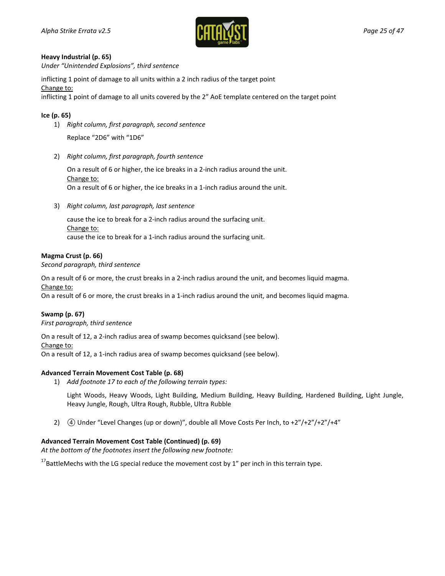

#### **Heavy Industrial (p. 65)**

*Under "Unintended Explosions", third sentence*

inflicting 1 point of damage to all units within a 2 inch radius of the target point

Change to:

inflicting 1 point of damage to all units covered by the 2" AoE template centered on the target point

### **Ice (p. 65)**

1) *Right column, first paragraph, second sentence*

Replace "2D6" with "1D6"

2) *Right column, first paragraph, fourth sentence*

On a result of 6 or higher, the ice breaks in a 2-inch radius around the unit. Change to: On a result of 6 or higher, the ice breaks in a 1-inch radius around the unit.

3) *Right column, last paragraph, last sentence*

cause the ice to break for a 2-inch radius around the surfacing unit. Change to: cause the ice to break for a 1-inch radius around the surfacing unit.

### **Magma Crust (p. 66)**

*Second paragraph, third sentence*

On a result of 6 or more, the crust breaks in a 2-inch radius around the unit, and becomes liquid magma. Change to:

On a result of 6 or more, the crust breaks in a 1-inch radius around the unit, and becomes liquid magma.

### **Swamp (p. 67)**

*First paragraph, third sentence*

On a result of 12, a 2-inch radius area of swamp becomes quicksand (see below).

Change to:

On a result of 12, a 1-inch radius area of swamp becomes quicksand (see below).

### **Advanced Terrain Movement Cost Table (p. 68)**

1) *Add footnote 17 to each of the following terrain types:*

Light Woods, Heavy Woods, Light Building, Medium Building, Heavy Building, Hardened Building, Light Jungle, Heavy Jungle, Rough, Ultra Rough, Rubble, Ultra Rubble

2) **4** Under "Level Changes (up or down)", double all Move Costs Per Inch, to +2"/+2"/+2"/+4"

### **Advanced Terrain Movement Cost Table (Continued) (p. 69)**

*At the bottom of the footnotes insert the following new footnote:*

 $17$ BattleMechs with the LG special reduce the movement cost by 1" per inch in this terrain type.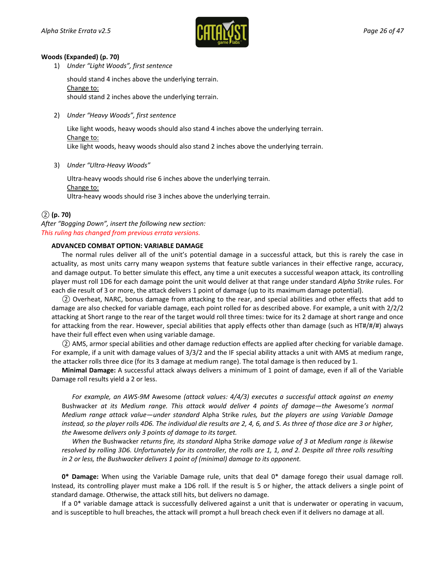

#### **Woods (Expanded) (p. 70)**

1) *Under "Light Woods", first sentence*

should stand 4 inches above the underlying terrain. Change to: should stand 2 inches above the underlying terrain.

2) *Under "Heavy Woods", first sentence*

Like light woods, heavy woods should also stand 4 inches above the underlying terrain. Change to: Like light woods, heavy woods should also stand 2 inches above the underlying terrain.

3) *Under "Ultra-Heavy Woods"*

Ultra-heavy woods should rise 6 inches above the underlying terrain. Change to: Ultra-heavy woods should rise 3 inches above the underlying terrain.

### *②* **(p. 70)**

*After "Bogging Down", insert the following new section: This ruling has changed from previous errata versions.*

### **ADVANCED COMBAT OPTION: VARIABLE DAMAGE**

The normal rules deliver all of the unit's potential damage in a successful attack, but this is rarely the case in actuality, as most units carry many weapon systems that feature subtle variances in their effective range, accuracy, and damage output. To better simulate this effect, any time a unit executes a successful weapon attack, its controlling player must roll 1D6 for each damage point the unit would deliver at that range under standard *Alpha Strike* rules. For each die result of 3 or more, the attack delivers 1 point of damage (up to its maximum damage potential).

*②* Overheat, NARC, bonus damage from attacking to the rear, and special abilities and other effects that add to damage are also checked for variable damage, each point rolled for as described above. For example, a unit with 2/2/2 attacking at Short range to the rear of the target would roll three times: twice for its 2 damage at short range and once for attacking from the rear. However, special abilities that apply effects other than damage (such as HT#/#/#) always have their full effect even when using variable damage.

*②* AMS, armor special abilities and other damage reduction effects are applied after checking for variable damage. For example, if a unit with damage values of 3/3/2 and the IF special ability attacks a unit with AMS at medium range, the attacker rolls three dice (for its 3 damage at medium range). The total damage is then reduced by 1.

**Minimal Damage:** A successful attack always delivers a minimum of 1 point of damage, even if all of the Variable Damage roll results yield a 2 or less.

*For example, an AWS-9M* Awesome *(attack values: 4/4/3) executes a successful attack against an enemy*  Bushwacker *at its Medium range. This attack would deliver 4 points of damage—the* Awesome*'s normal Medium range attack value—under standard* Alpha Strike *rules, but the players are using Variable Damage instead, so the player rolls 4D6. The individual die results are 2, 4, 6, and 5. As three of those dice are 3 or higher, the* Awesome *delivers only 3 points of damage to its target.*

*When the* Bushwacker *returns fire, its standard* Alpha Strike *damage value of 3 at Medium range is likewise resolved by rolling 3D6. Unfortunately for its controller, the rolls are 1, 1, and 2. Despite all three rolls resulting in 2 or less, the Bushwacker delivers 1 point of (minimal) damage to its opponent.*

**0\* Damage:** When using the Variable Damage rule, units that deal 0\* damage forego their usual damage roll. Instead, its controlling player must make a 1D6 roll. If the result is 5 or higher, the attack delivers a single point of standard damage. Otherwise, the attack still hits, but delivers no damage.

If a 0\* variable damage attack is successfully delivered against a unit that is underwater or operating in vacuum, and is susceptible to hull breaches, the attack will prompt a hull breach check even if it delivers no damage at all.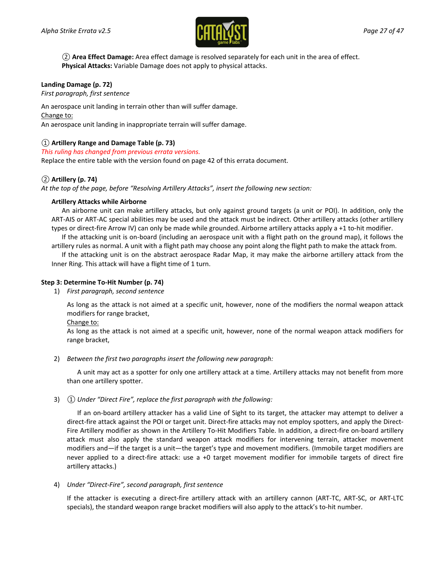

*②* **Area Effect Damage:** Area effect damage is resolved separately for each unit in the area of effect. **Physical Attacks:** Variable Damage does not apply to physical attacks.

### **Landing Damage (p. 72)**

*First paragraph, first sentence*

An aerospace unit landing in terrain other than will suffer damage. Change to:

An aerospace unit landing in inappropriate terrain will suffer damage.

### *①* **Artillery Range and Damage Table (p. 73)**

*This ruling has changed from previous errata versions.*

Replace the entire table with the version found on page [42](#page-41-0) of this errata document.

### *②* **Artillery (p. 74)**

*At the top of the page, before "Resolving Artillery Attacks", insert the following new section:*

### **Artillery Attacks while Airborne**

An airborne unit can make artillery attacks, but only against ground targets (a unit or POI). In addition, only the ART-AIS or ART-AC special abilities may be used and the attack must be indirect. Other artillery attacks (other artillery types or direct-fire Arrow IV) can only be made while grounded. Airborne artillery attacks apply a +1 to-hit modifier.

If the attacking unit is on-board (including an aerospace unit with a flight path on the ground map), it follows the artillery rules as normal. A unit with a flight path may choose any point along the flight path to make the attack from.

If the attacking unit is on the abstract aerospace Radar Map, it may make the airborne artillery attack from the Inner Ring. This attack will have a flight time of 1 turn.

### **Step 3: Determine To-Hit Number (p. 74)**

1) *First paragraph, second sentence*

As long as the attack is not aimed at a specific unit, however, none of the modifiers the normal weapon attack modifiers for range bracket,

Change to:

As long as the attack is not aimed at a specific unit, however, none of the normal weapon attack modifiers for range bracket,

2) *Between the first two paragraphs insert the following new paragraph:*

A unit may act as a spotter for only one artillery attack at a time. Artillery attacks may not benefit from more than one artillery spotter.

#### 3) *① Under "Direct Fire", replace the first paragraph with the following:*

If an on-board artillery attacker has a valid Line of Sight to its target, the attacker may attempt to deliver a direct-fire attack against the POI or target unit. Direct-fire attacks may not employ spotters, and apply the Direct-Fire Artillery modifier as shown in the Artillery To-Hit Modifiers Table. In addition, a direct-fire on-board artillery attack must also apply the standard weapon attack modifiers for intervening terrain, attacker movement modifiers and—if the target is a unit—the target's type and movement modifiers. (Immobile target modifiers are never applied to a direct-fire attack: use a +0 target movement modifier for immobile targets of direct fire artillery attacks.)

4) *Under "Direct-Fire", second paragraph, first sentence*

If the attacker is executing a direct-fire artillery attack with an artillery cannon (ART-TC, ART-SC, or ART-LTC specials), the standard weapon range bracket modifiers will also apply to the attack's to-hit number.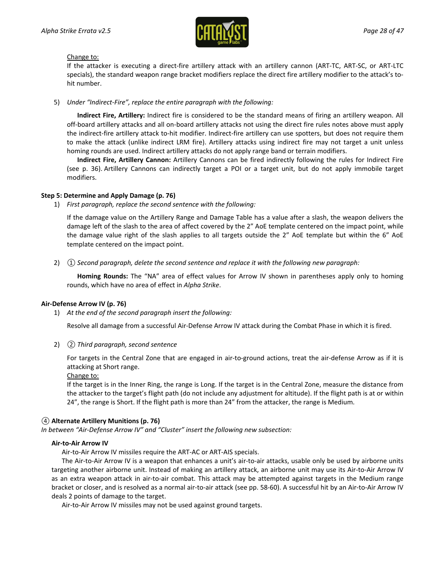

### Change to:

If the attacker is executing a direct-fire artillery attack with an artillery cannon (ART-TC, ART-SC, or ART-LTC specials), the standard weapon range bracket modifiers replace the direct fire artillery modifier to the attack's tohit number.

5) *Under "Indirect-Fire", replace the entire paragraph with the following:*

**Indirect Fire, Artillery:** Indirect fire is considered to be the standard means of firing an artillery weapon. All off-board artillery attacks and all on-board artillery attacks not using the direct fire rules notes above must apply the indirect-fire artillery attack to-hit modifier. Indirect-fire artillery can use spotters, but does not require them to make the attack (unlike indirect LRM fire). Artillery attacks using indirect fire may not target a unit unless homing rounds are used. Indirect artillery attacks do not apply range band or terrain modifiers.

**Indirect Fire, Artillery Cannon:** Artillery Cannons can be fired indirectly following the rules for Indirect Fire (see p. 36). Artillery Cannons can indirectly target a POI or a target unit, but do not apply immobile target modifiers.

### **Step 5: Determine and Apply Damage (p. 76)**

1) *First paragraph, replace the second sentence with the following:*

If the damage value on the Artillery Range and Damage Table has a value after a slash, the weapon delivers the damage left of the slash to the area of affect covered by the 2" AoE template centered on the impact point, while the damage value right of the slash applies to all targets outside the 2" AoE template but within the 6" AoE template centered on the impact point.

2) *① Second paragraph, delete the second sentence and replace it with the following new paragraph:*

**Homing Rounds:** The "NA" area of effect values for Arrow IV shown in parentheses apply only to homing rounds, which have no area of effect in *Alpha Strike*.

#### **Air-Defense Arrow IV (p. 76)**

1) *At the end of the second paragraph insert the following:*

Resolve all damage from a successful Air-Defense Arrow IV attack during the Combat Phase in which it is fired.

2) *② Third paragraph, second sentence*

For targets in the Central Zone that are engaged in air-to-ground actions, treat the air-defense Arrow as if it is attacking at Short range.

#### Change to:

If the target is in the Inner Ring, the range is Long. If the target is in the Central Zone, measure the distance from the attacker to the target's flight path (do not include any adjustment for altitude). If the flight path is at or within 24", the range is Short. If the flight path is more than 24" from the attacker, the range is Medium.

### *④* **Alternate Artillery Munitions (p. 76)**

*In between "Air-Defense Arrow IV" and "Cluster" insert the following new subsection:*

#### **Air-to-Air Arrow IV**

Air-to-Air Arrow IV missiles require the ART-AC or ART-AIS specials.

The Air-to-Air Arrow IV is a weapon that enhances a unit's air-to-air attacks, usable only be used by airborne units targeting another airborne unit. Instead of making an artillery attack, an airborne unit may use its Air-to-Air Arrow IV as an extra weapon attack in air-to-air combat. This attack may be attempted against targets in the Medium range bracket or closer, and is resolved as a normal air-to-air attack (see pp. 58-60). A successful hit by an Air-to-Air Arrow IV deals 2 points of damage to the target.

Air-to-Air Arrow IV missiles may not be used against ground targets.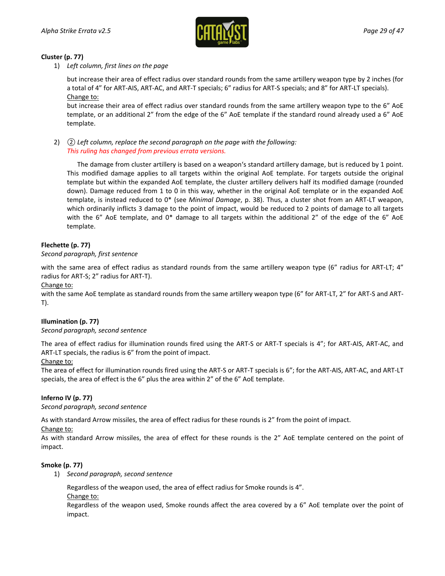

### **Cluster (p. 77)**

1) *Left column, first lines on the page*

but increase their area of effect radius over standard rounds from the same artillery weapon type by 2 inches (for a total of 4" for ART-AIS, ART-AC, and ART-T specials; 6" radius for ART-S specials; and 8" for ART-LT specials). Change to:

but increase their area of effect radius over standard rounds from the same artillery weapon type to the 6" AoE template, or an additional 2" from the edge of the 6" AoE template if the standard round already used a 6" AoE template.

2) *② Left column, replace the second paragraph on the page with the following: This ruling has changed from previous errata versions.*

The damage from cluster artillery is based on a weapon's standard artillery damage, but is reduced by 1 point. This modified damage applies to all targets within the original AoE template. For targets outside the original template but within the expanded AoE template, the cluster artillery delivers half its modified damage (rounded down). Damage reduced from 1 to 0 in this way, whether in the original AoE template or in the expanded AoE template, is instead reduced to 0\* (see *Minimal Damage*, p. 38). Thus, a cluster shot from an ART-LT weapon, which ordinarily inflicts 3 damage to the point of impact, would be reduced to 2 points of damage to all targets with the 6" AoE template, and 0\* damage to all targets within the additional 2" of the edge of the 6" AoE template.

### **Flechette (p. 77)**

### *Second paragraph, first sentence*

with the same area of effect radius as standard rounds from the same artillery weapon type (6" radius for ART-LT; 4" radius for ART-S; 2" radius for ART-T).

Change to:

with the same AoE template as standard rounds from the same artillery weapon type (6" for ART-LT, 2" for ART-S and ART-T).

### **Illumination (p. 77)**

### *Second paragraph, second sentence*

The area of effect radius for illumination rounds fired using the ART-S or ART-T specials is 4"; for ART-AIS, ART-AC, and ART-LT specials, the radius is 6" from the point of impact.

### Change to:

The area of effect for illumination rounds fired using the ART-S or ART-T specials is 6"; for the ART-AIS, ART-AC, and ART-LT specials, the area of effect is the 6" plus the area within 2" of the 6" AoE template.

### **Inferno IV (p. 77)**

*Second paragraph, second sentence*

As with standard Arrow missiles, the area of effect radius for these rounds is 2" from the point of impact.

Change to:

As with standard Arrow missiles, the area of effect for these rounds is the 2" AoE template centered on the point of impact.

### **Smoke (p. 77)**

1) *Second paragraph, second sentence*

Regardless of the weapon used, the area of effect radius for Smoke rounds is 4".

Change to:

Regardless of the weapon used, Smoke rounds affect the area covered by a 6" AoE template over the point of impact.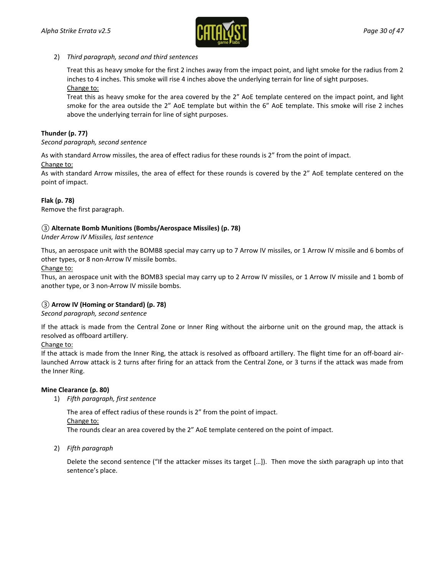

### 2) *Third paragraph, second and third sentences*

Treat this as heavy smoke for the first 2 inches away from the impact point, and light smoke for the radius from 2 inches to 4 inches. This smoke will rise 4 inches above the underlying terrain for line of sight purposes. Change to:

Treat this as heavy smoke for the area covered by the 2" AoE template centered on the impact point, and light smoke for the area outside the 2" AoE template but within the 6" AoE template. This smoke will rise 2 inches above the underlying terrain for line of sight purposes.

### **Thunder (p. 77)**

*Second paragraph, second sentence*

As with standard Arrow missiles, the area of effect radius for these rounds is 2" from the point of impact.

Change to:

As with standard Arrow missiles, the area of effect for these rounds is covered by the 2" AoE template centered on the point of impact.

### **Flak (p. 78)**

Remove the first paragraph.

### *③* **Alternate Bomb Munitions (Bombs/Aerospace Missiles) (p. 78)**

*Under Arrow IV Missiles, last sentence*

Thus, an aerospace unit with the BOMB8 special may carry up to 7 Arrow IV missiles, or 1 Arrow IV missile and 6 bombs of other types, or 8 non-Arrow IV missile bombs.

Change to:

Thus, an aerospace unit with the BOMB3 special may carry up to 2 Arrow IV missiles, or 1 Arrow IV missile and 1 bomb of another type, or 3 non-Arrow IV missile bombs.

### *③* **Arrow IV (Homing or Standard) (p. 78)**

### *Second paragraph, second sentence*

If the attack is made from the Central Zone or Inner Ring without the airborne unit on the ground map, the attack is resolved as offboard artillery.

### Change to:

If the attack is made from the Inner Ring, the attack is resolved as offboard artillery. The flight time for an off-board airlaunched Arrow attack is 2 turns after firing for an attack from the Central Zone, or 3 turns if the attack was made from the Inner Ring.

### **Mine Clearance (p. 80)**

1) *Fifth paragraph, first sentence*

The area of effect radius of these rounds is 2" from the point of impact.

Change to:

The rounds clear an area covered by the 2" AoE template centered on the point of impact.

2) *Fifth paragraph*

Delete the second sentence ("If the attacker misses its target […]). Then move the sixth paragraph up into that sentence's place.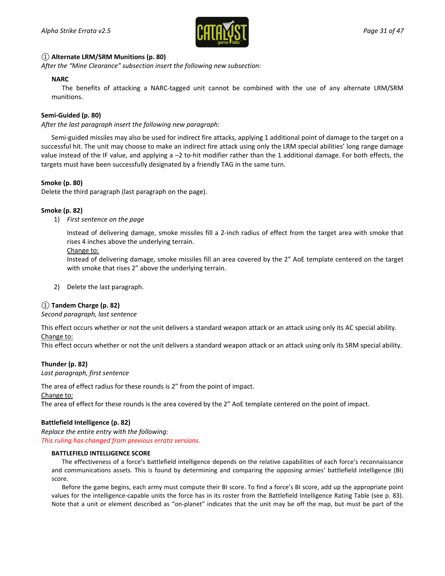

### *①* **Alternate LRM/SRM Munitions (p. 80)**

*After the "Mine Clearance" subsection insert the following new subsection:*

### **NARC**

The benefits of attacking a NARC-tagged unit cannot be combined with the use of any alternate LRM/SRM munitions.

### **Semi-Guided (p. 80)**

*After the last paragraph insert the following new paragraph:*

Semi-guided missiles may also be used for indirect fire attacks, applying 1 additional point of damage to the target on a successful hit. The unit may choose to make an indirect fire attack using only the LRM special abilities' long range damage value instead of the IF value, and applying a –2 to-hit modifier rather than the 1 additional damage. For both effects, the targets must have been successfully designated by a friendly TAG in the same turn.

### **Smoke (p. 80)**

Delete the third paragraph (last paragraph on the page).

### **Smoke (p. 82)**

1) *First sentence on the page*

Instead of delivering damage, smoke missiles fill a 2-inch radius of effect from the target area with smoke that rises 4 inches above the underlying terrain.

### Change to:

Instead of delivering damage, smoke missiles fill an area covered by the 2" AoE template centered on the target with smoke that rises 2" above the underlying terrain.

2) Delete the last paragraph.

### *①* **Tandem Charge (p. 82)**

#### *Second paragraph, last sentence*

This effect occurs whether or not the unit delivers a standard weapon attack or an attack using only its AC special ability.

### Change to:

This effect occurs whether or not the unit delivers a standard weapon attack or an attack using only its SRM special ability.

### **Thunder (p. 82)**

#### *Last paragraph, first sentence*

The area of effect radius for these rounds is 2" from the point of impact.

Change to:

The area of effect for these rounds is the area covered by the 2" AoE template centered on the point of impact.

### **Battlefield Intelligence (p. 82)**

*Replace the entire entry with the following: This ruling has changed from previous errata versions.*

#### **BATTLEFIELD INTELLIGENCE SCORE**

The effectiveness of a force's battlefield intelligence depends on the relative capabilities of each force's reconnaissance and communications assets. This is found by determining and comparing the opposing armies' battlefield intelligence (BI) score.

Before the game begins, each army must compute their BI score. To find a force's BI score, add up the appropriate point values for the intelligence-capable units the force has in its roster from the Battlefield Intelligence Rating Table (see p. 83). Note that a unit or element described as "on-planet" indicates that the unit may be off the map, but must be part of the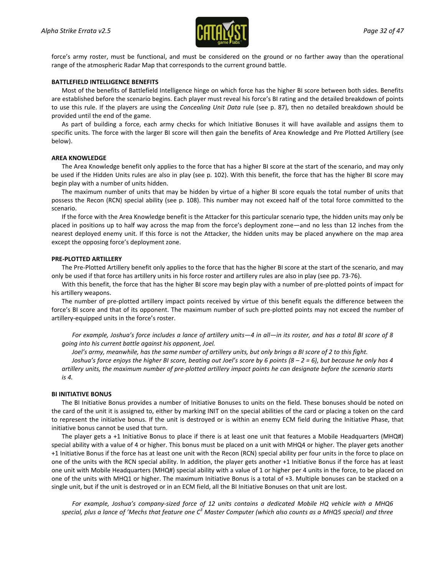

force's army roster, must be functional, and must be considered on the ground or no farther away than the operational range of the atmospheric Radar Map that corresponds to the current ground battle.

#### **BATTLEFIELD INTELLIGENCE BENEFITS**

Most of the benefits of Battlefield Intelligence hinge on which force has the higher BI score between both sides. Benefits are established before the scenario begins. Each player must reveal his force's BI rating and the detailed breakdown of points to use this rule. If the players are using the *Concealing Unit Data* rule (see p. 87), then no detailed breakdown should be provided until the end of the game.

As part of building a force, each army checks for which Initiative Bonuses it will have available and assigns them to specific units. The force with the larger BI score will then gain the benefits of Area Knowledge and Pre Plotted Artillery (see below).

#### **AREA KNOWLEDGE**

The Area Knowledge benefit only applies to the force that has a higher BI score at the start of the scenario, and may only be used if the Hidden Units rules are also in play (see p. 102). With this benefit, the force that has the higher BI score may begin play with a number of units hidden.

The maximum number of units that may be hidden by virtue of a higher BI score equals the total number of units that possess the Recon (RCN) special ability (see p. 108). This number may not exceed half of the total force committed to the scenario.

If the force with the Area Knowledge benefit is the Attacker for this particular scenario type, the hidden units may only be placed in positions up to half way across the map from the force's deployment zone—and no less than 12 inches from the nearest deployed enemy unit. If this force is not the Attacker, the hidden units may be placed anywhere on the map area except the opposing force's deployment zone.

#### **PRE-PLOTTED ARTILLERY**

The Pre-Plotted Artillery benefit only applies to the force that has the higher BI score at the start of the scenario, and may only be used if that force has artillery units in his force roster and artillery rules are also in play (see pp. 73-76).

With this benefit, the force that has the higher BI score may begin play with a number of pre-plotted points of impact for his artillery weapons.

The number of pre-plotted artillery impact points received by virtue of this benefit equals the difference between the force's BI score and that of its opponent. The maximum number of such pre-plotted points may not exceed the number of artillery-equipped units in the force's roster.

*For example, Joshua's force includes a lance of artillery units—4 in all—in its roster, and has a total BI score of 8 going into his current battle against his opponent, Joel.*

*Joel's army, meanwhile, has the same number of artillery units, but only brings a BI score of 2 to this fight.*

*Joshua's force enjoys the higher BI score, beating out Joel's score by 6 points (8 – 2 = 6), but because he only has 4 artillery units, the maximum number of pre-plotted artillery impact points he can designate before the scenario starts is 4.*

#### **BI INITIATIVE BONUS**

The BI Initiative Bonus provides a number of Initiative Bonuses to units on the field. These bonuses should be noted on the card of the unit it is assigned to, either by marking INIT on the special abilities of the card or placing a token on the card to represent the initiative bonus. If the unit is destroyed or is within an enemy ECM field during the Initiative Phase, that initiative bonus cannot be used that turn.

The player gets a +1 Initiative Bonus to place if there is at least one unit that features a Mobile Headquarters (MHQ#) special ability with a value of 4 or higher. This bonus must be placed on a unit with MHQ4 or higher. The player gets another +1 Initiative Bonus if the force has at least one unit with the Recon (RCN) special ability per four units in the force to place on one of the units with the RCN special ability. In addition, the player gets another +1 Initiative Bonus if the force has at least one unit with Mobile Headquarters (MHQ#) special ability with a value of 1 or higher per 4 units in the force, to be placed on one of the units with MHQ1 or higher. The maximum Initiative Bonus is a total of +3. Multiple bonuses can be stacked on a single unit, but if the unit is destroyed or in an ECM field, all the BI Initiative Bonuses on that unit are lost.

*For example, Joshua's company-sized force of 12 units contains a dedicated Mobile HQ vehicle with a MHQ6 special, plus a lance of 'Mechs that feature one C<sup>3</sup> Master Computer (which also counts as a MHQ5 special) and three*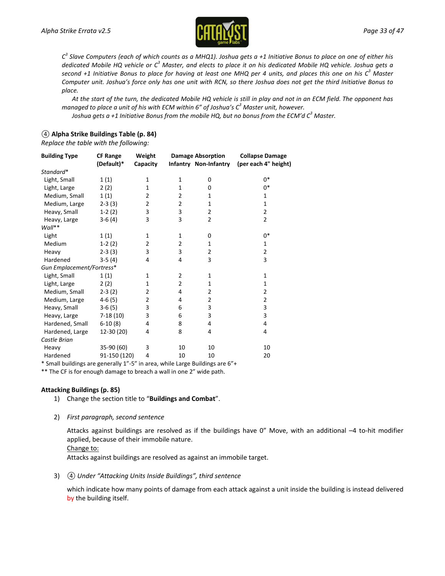

*C<sup>3</sup> Slave Computers (each of which counts as a MHQ1). Joshua gets a +1 Initiative Bonus to place on one of either his dedicated Mobile HQ vehicle or C<sup>3</sup> Master, and elects to place it on his dedicated Mobile HQ vehicle. Joshua gets a second +1 Initiative Bonus to place for having at least one MHQ per 4 units, and places this one on his C<sup>3</sup> Master Computer unit. Joshua's force only has one unit with RCN, so there Joshua does not get the third Initiative Bonus to place.*

*At the start of the turn, the dedicated Mobile HQ vehicle is still in play and not in an ECM field. The opponent has managed to place a unit of his with ECM within 6" of Joshua's C<sup>3</sup> Master unit, however.*

*Joshua gets a +1 Initiative Bonus from the mobile HQ, but no bonus from the ECM'd C3 Master.*

### *④* **Alpha Strike Buildings Table (p. 84)**

*Replace the table with the following:*

| <b>Building Type</b>      | <b>CF Range</b><br>(Default)* | Weight<br>Capacity |                | <b>Damage Absorption</b><br>Infantry Non-Infantry | <b>Collapse Damage</b><br>(per each 4" height) |
|---------------------------|-------------------------------|--------------------|----------------|---------------------------------------------------|------------------------------------------------|
| Standard*                 |                               |                    |                |                                                   |                                                |
| Light, Small              | 1(1)                          | 1                  | $\mathbf{1}$   | 0                                                 | $0*$                                           |
| Light, Large              | 2(2)                          | $\mathbf{1}$       | $\mathbf{1}$   | 0                                                 | $0*$                                           |
| Medium, Small             | 1(1)                          | 2                  | $\overline{2}$ | 1                                                 | 1                                              |
| Medium, Large             | $2-3(3)$                      | $\overline{2}$     | $\overline{2}$ | 1                                                 | 1                                              |
| Heavy, Small              | $1-2(2)$                      | 3                  | 3              | $\overline{2}$                                    | $\overline{2}$                                 |
| Heavy, Large              | $3-6(4)$                      | 3                  | 3              | $\overline{2}$                                    | $\overline{2}$                                 |
| Wall**                    |                               |                    |                |                                                   |                                                |
| Light                     | 1(1)                          | 1                  | 1              | 0                                                 | $0*$                                           |
| Medium                    | $1-2(2)$                      | $\overline{2}$     | $\overline{2}$ | 1                                                 | 1                                              |
| Heavy                     | $2-3(3)$                      | 3                  | 3              | $\overline{2}$                                    | $\overline{2}$                                 |
| Hardened                  | $3-5(4)$                      | 4                  | 4              | 3                                                 | 3                                              |
| Gun Emplacement/Fortress* |                               |                    |                |                                                   |                                                |
| Light, Small              | 1(1)                          | 1                  | $\overline{2}$ | 1                                                 | 1                                              |
| Light, Large              | 2(2)                          | 1                  | $\overline{2}$ | 1                                                 | 1                                              |
| Medium, Small             | $2-3(2)$                      | $\overline{2}$     | 4              | $\overline{2}$                                    | $\overline{2}$                                 |
| Medium, Large             | $4-6(5)$                      | $\overline{2}$     | 4              | $\overline{2}$                                    | $\overline{2}$                                 |
| Heavy, Small              | $3-6(5)$                      | 3                  | 6              | 3                                                 | 3                                              |
| Heavy, Large              | 7-18 (10)                     | 3                  | 6              | 3                                                 | 3                                              |
| Hardened, Small           | $6-10(8)$                     | 4                  | 8              | 4                                                 | 4                                              |
| Hardened, Large           | 12-30 (20)                    | 4                  | 8              | 4                                                 | 4                                              |
| Castle Brian              |                               |                    |                |                                                   |                                                |
| Heavy                     | 35-90 (60)                    | 3                  | 10             | 10                                                | 10                                             |
| Hardened                  | 91-150 (120)                  | 4                  | 10             | 10                                                | 20                                             |

\* Small buildings are generally 1"-5" in area, while Large Buildings are 6"+

\*\* The CF is for enough damage to breach a wall in one 2" wide path.

### **Attacking Buildings (p. 85)**

- 1) Change the section title to "**Buildings and Combat**".
- 2) *First paragraph, second sentence*

Attacks against buildings are resolved as if the buildings have 0" Move, with an additional –4 to-hit modifier applied, because of their immobile nature.

Change to:

Attacks against buildings are resolved as against an immobile target.

3) *④ Under "Attacking Units Inside Buildings", third sentence*

which indicate how many points of damage from each attack against a unit inside the building is instead delivered by the building itself.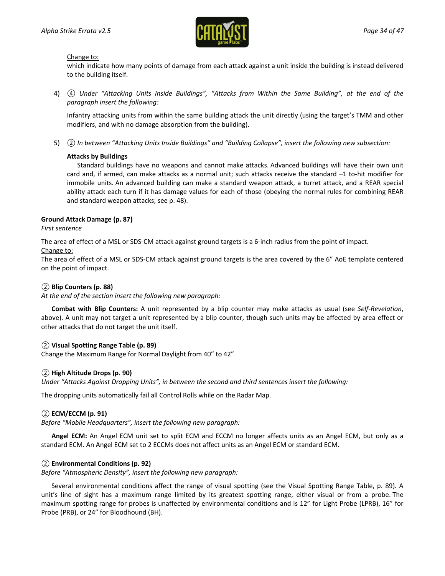

Change to:

which indicate how many points of damage from each attack against a unit inside the building is instead delivered to the building itself.

4) *④ Under "Attacking Units Inside Buildings", "Attacks from Within the Same Building", at the end of the paragraph insert the following:*

Infantry attacking units from within the same building attack the unit directly (using the target's TMM and other modifiers, and with no damage absorption from the building).

5) *② In between "Attacking Units Inside Buildings" and "Building Collapse", insert the following new subsection:*

### **Attacks by Buildings**

Standard buildings have no weapons and cannot make attacks. Advanced buildings will have their own unit card and, if armed, can make attacks as a normal unit; such attacks receive the standard –1 to-hit modifier for immobile units. An advanced building can make a standard weapon attack, a turret attack, and a REAR special ability attack each turn if it has damage values for each of those (obeying the normal rules for combining REAR and standard weapon attacks; see p. 48).

### **Ground Attack Damage (p. 87)**

### *First sentence*

The area of effect of a MSL or SDS-CM attack against ground targets is a 6-inch radius from the point of impact.

### Change to:

The area of effect of a MSL or SDS-CM attack against ground targets is the area covered by the 6" AoE template centered on the point of impact.

### *②* **Blip Counters (p. 88)**

*At the end of the section insert the following new paragraph:*

**Combat with Blip Counters:** A unit represented by a blip counter may make attacks as usual (see *Self-Revelation*, above). A unit may not target a unit represented by a blip counter, though such units may be affected by area effect or other attacks that do not target the unit itself.

### *②* **Visual Spotting Range Table (p. 89)**

Change the Maximum Range for Normal Daylight from 40" to 42"

### *②* **High Altitude Drops (p. 90)**

*Under "Attacks Against Dropping Units", in between the second and third sentences insert the following:*

The dropping units automatically fail all Control Rolls while on the Radar Map.

### *②* **ECM/ECCM (p. 91)**

*Before "Mobile Headquarters", insert the following new paragraph:*

**Angel ECM:** An Angel ECM unit set to split ECM and ECCM no longer affects units as an Angel ECM, but only as a standard ECM. An Angel ECM set to 2 ECCMs does not affect units as an Angel ECM or standard ECM.

### *②* **Environmental Conditions (p. 92)**

*Before "Atmospheric Density", insert the following new paragraph:*

Several environmental conditions affect the range of visual spotting (see the Visual Spotting Range Table, p. 89). A unit's line of sight has a maximum range limited by its greatest spotting range, either visual or from a probe. The maximum spotting range for probes is unaffected by environmental conditions and is 12" for Light Probe (LPRB), 16" for Probe (PRB), or 24" for Bloodhound (BH).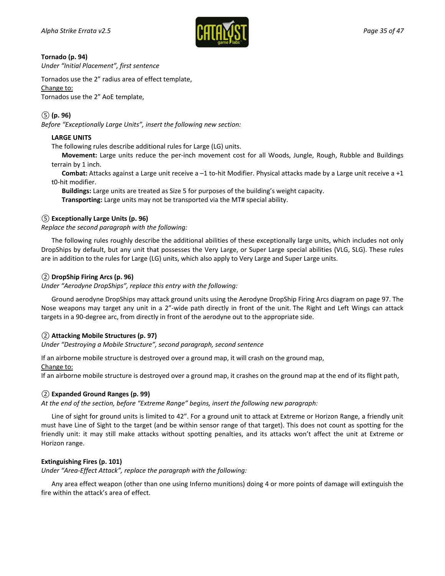

### **Tornado (p. 94)**

*Under "Initial Placement", first sentence*

Tornados use the 2" radius area of effect template,

#### Change to:

Tornados use the 2" AoE template,

### *⑤* **(p. 96)**

*Before "Exceptionally Large Units", insert the following new section:*

### **LARGE UNITS**

The following rules describe additional rules for Large (LG) units.

**Movement:** Large units reduce the per-inch movement cost for all Woods, Jungle, Rough, Rubble and Buildings terrain by 1 inch.

**Combat:** Attacks against a Large unit receive a –1 to-hit Modifier. Physical attacks made by a Large unit receive a +1 t0-hit modifier.

**Buildings:** Large units are treated as Size 5 for purposes of the building's weight capacity. **Transporting:** Large units may not be transported via the MT# special ability.

### *⑤* **Exceptionally Large Units (p. 96)**

### *Replace the second paragraph with the following:*

The following rules roughly describe the additional abilities of these exceptionally large units, which includes not only DropShips by default, but any unit that possesses the Very Large, or Super Large special abilities (VLG, SLG). These rules are in addition to the rules for Large (LG) units, which also apply to Very Large and Super Large units.

### *②* **DropShip Firing Arcs (p. 96)**

*Under "Aerodyne DropShips", replace this entry with the following:*

Ground aerodyne DropShips may attack ground units using the Aerodyne DropShip Firing Arcs diagram on page 97. The Nose weapons may target any unit in a 2"-wide path directly in front of the unit. The Right and Left Wings can attack targets in a 90-degree arc, from directly in front of the aerodyne out to the appropriate side.

### *②* **Attacking Mobile Structures (p. 97)**

*Under "Destroying a Mobile Structure", second paragraph, second sentence*

If an airborne mobile structure is destroyed over a ground map, it will crash on the ground map,

#### Change to:

If an airborne mobile structure is destroyed over a ground map, it crashes on the ground map at the end of its flight path,

### *②* **Expanded Ground Ranges (p. 99)**

*At the end of the section, before "Extreme Range" begins, insert the following new paragraph:*

Line of sight for ground units is limited to 42". For a ground unit to attack at Extreme or Horizon Range, a friendly unit must have Line of Sight to the target (and be within sensor range of that target). This does not count as spotting for the friendly unit: it may still make attacks without spotting penalties, and its attacks won't affect the unit at Extreme or Horizon range.

### **Extinguishing Fires (p. 101)**

*Under "Area-Effect Attack", replace the paragraph with the following:*

Any area effect weapon (other than one using Inferno munitions) doing 4 or more points of damage will extinguish the fire within the attack's area of effect.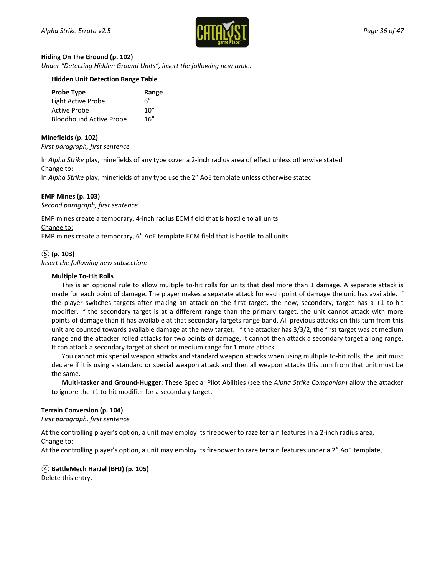

#### **Hiding On The Ground (p. 102)**

*Under "Detecting Hidden Ground Units", insert the following new table:*

### **Hidden Unit Detection Range Table**

| <b>Probe Type</b>              | Range |
|--------------------------------|-------|
| Light Active Probe             | հ"    |
| Active Probe                   | 10"   |
| <b>Bloodhound Active Probe</b> | 16''  |

### **Minefields (p. 102)**

*First paragraph, first sentence*

In *Alpha Strike* play, minefields of any type cover a 2-inch radius area of effect unless otherwise stated Change to:

In *Alpha Strike* play, minefields of any type use the 2" AoE template unless otherwise stated

### **EMP Mines (p. 103)**

*Second paragraph, first sentence*

EMP mines create a temporary, 4-inch radius ECM field that is hostile to all units Change to: EMP mines create a temporary, 6" AoE template ECM field that is hostile to all units

### *⑤* **(p. 103)**

*Insert the following new subsection:*

### **Multiple To-Hit Rolls**

This is an optional rule to allow multiple to-hit rolls for units that deal more than 1 damage. A separate attack is made for each point of damage. The player makes a separate attack for each point of damage the unit has available. If the player switches targets after making an attack on the first target, the new, secondary, target has a +1 to-hit modifier. If the secondary target is at a different range than the primary target, the unit cannot attack with more points of damage than it has available at that secondary targets range band. All previous attacks on this turn from this unit are counted towards available damage at the new target. If the attacker has 3/3/2, the first target was at medium range and the attacker rolled attacks for two points of damage, it cannot then attack a secondary target a long range. It can attack a secondary target at short or medium range for 1 more attack.

You cannot mix special weapon attacks and standard weapon attacks when using multiple to-hit rolls, the unit must declare if it is using a standard or special weapon attack and then all weapon attacks this turn from that unit must be the same.

**Multi-tasker and Ground-Hugger:** These Special Pilot Abilities (see the *Alpha Strike Companion*) allow the attacker to ignore the +1 to-hit modifier for a secondary target.

#### **Terrain Conversion (p. 104)**

*First paragraph, first sentence*

At the controlling player's option, a unit may employ its firepower to raze terrain features in a 2-inch radius area, Change to:

At the controlling player's option, a unit may employ its firepower to raze terrain features under a 2" AoE template,

## *④* **BattleMech HarJel (BHJ) (p. 105)**

Delete this entry.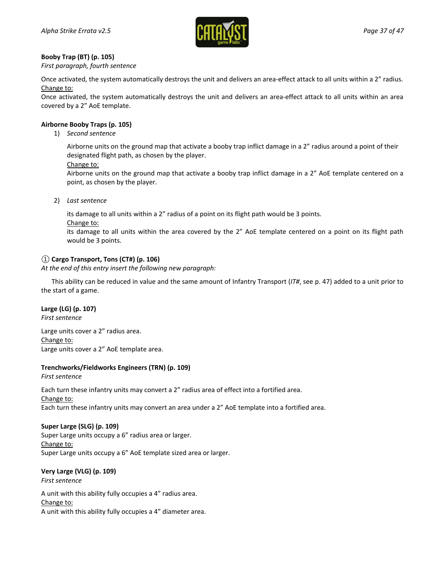

### **Booby Trap (BT) (p. 105)**

*First paragraph, fourth sentence*

Once activated, the system automatically destroys the unit and delivers an area-effect attack to all units within a 2" radius. Change to:

Once activated, the system automatically destroys the unit and delivers an area-effect attack to all units within an area covered by a 2" AoE template.

### **Airborne Booby Traps (p. 105)**

1) *Second sentence*

Airborne units on the ground map that activate a booby trap inflict damage in a 2" radius around a point of their designated flight path, as chosen by the player.

Change to:

Airborne units on the ground map that activate a booby trap inflict damage in a 2" AoE template centered on a point, as chosen by the player.

2) *Last sentence*

its damage to all units within a 2" radius of a point on its flight path would be 3 points.

Change to:

its damage to all units within the area covered by the 2" AoE template centered on a point on its flight path would be 3 points.

### *①* **Cargo Transport, Tons (CT#) (p. 106)**

*At the end of this entry insert the following new paragraph:*

This ability can be reduced in value and the same amount of Infantry Transport (*IT#*, see p. 47) added to a unit prior to the start of a game.

### **Large (LG) (p. 107)**

*First sentence*

Large units cover a 2" radius area. Change to: Large units cover a 2" AoE template area.

### **Trenchworks/Fieldworks Engineers (TRN) (p. 109)**

*First sentence*

Each turn these infantry units may convert a 2" radius area of effect into a fortified area. Change to: Each turn these infantry units may convert an area under a 2" AoE template into a fortified area.

### **Super Large (SLG) (p. 109)**

Super Large units occupy a 6" radius area or larger. Change to: Super Large units occupy a 6" AoE template sized area or larger.

### **Very Large (VLG) (p. 109)**

*First sentence*

A unit with this ability fully occupies a 4" radius area. Change to: A unit with this ability fully occupies a 4" diameter area.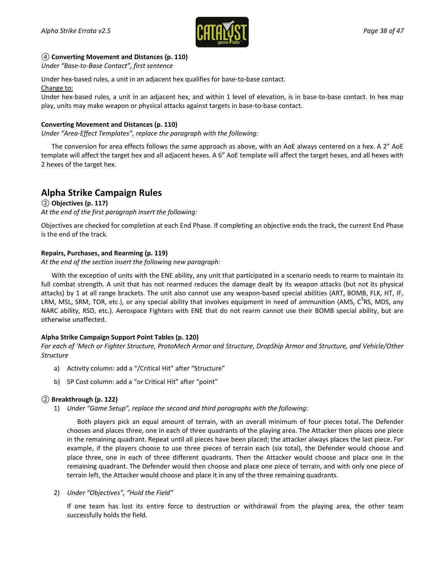

### *④* **Converting Movement and Distances (p. 110)**

*Under "Base-to-Base Contact", first sentence*

Under hex-based rules, a unit in an adjacent hex qualifies for base-to-base contact.

### Change to:

Under hex-based rules, a unit in an adjacent hex, and within 1 level of elevation, is in base-to-base contact. In hex map play, units may make weapon or physical attacks against targets in base-to-base contact.

### **Converting Movement and Distances (p. 110)**

*Under "Area-Effect Templates", replace the paragraph with the following:*

The conversion for area effects follows the same approach as above, with an AoE always centered on a hex. A 2" AoE template will affect the target hex and all adjacent hexes. A 6" AoE template will affect the target hexes, and all hexes with 2 hexes of the target hex.

## **Alpha Strike Campaign Rules**

### *②* **Objectives (p. 117)**

*At the end of the first paragraph insert the following:*

Objectives are checked for completion at each End Phase. If completing an objective ends the track, the current End Phase is the end of the track.

### **Repairs, Purchases, and Rearming (p. 119)**

*At the end of the section insert the following new paragraph:*

With the exception of units with the ENE ability, any unit that participated in a scenario needs to rearm to maintain its full combat strength. A unit that has not rearmed reduces the damage dealt by its weapon attacks (but not its physical attacks) by 1 at all range brackets. The unit also cannot use any weapon-based special abilities (ART, BOMB, FLK, HT, IF, LRM, MSL, SRM, TOR, etc.), or any special ability that involves equipment in need of ammunition (AMS,  $C^3$ RS, MDS, any NARC ability, RSD, etc.). Aerospace Fighters with ENE that do not rearm cannot use their BOMB special ability, but are otherwise unaffected.

### **Alpha Strike Campaign Support Point Tables (p. 120)**

*For each of 'Mech or Fighter Structure, ProtoMech Armor and Structure, DropShip Armor and Structure, and Vehicle/Other Structure*

- a) Activity column: add a "/Critical Hit" after "Structure"
- b) SP Cost column: add a "or Critical Hit" after "point"

### *②* **Breakthrough (p. 122)**

1) *Under "Game Setup", replace the second and third paragraphs with the following:*

Both players pick an equal amount of terrain, with an overall minimum of four pieces total. The Defender chooses and places three, one in each of three quadrants of the playing area. The Attacker then places one piece in the remaining quadrant. Repeat until all pieces have been placed; the attacker always places the last piece. For example, if the players choose to use three pieces of terrain each (six total), the Defender would choose and place three, one in each of three different quadrants. Then the Attacker would choose and place one in the remaining quadrant. The Defender would then choose and place one piece of terrain, and with only one piece of terrain left, the Attacker would choose and place it in any of the three remaining quadrants.

### 2) *Under "Objectives", "Hold the Field"*

If one team has lost its entire force to destruction or withdrawal from the playing area, the other team successfully holds the field.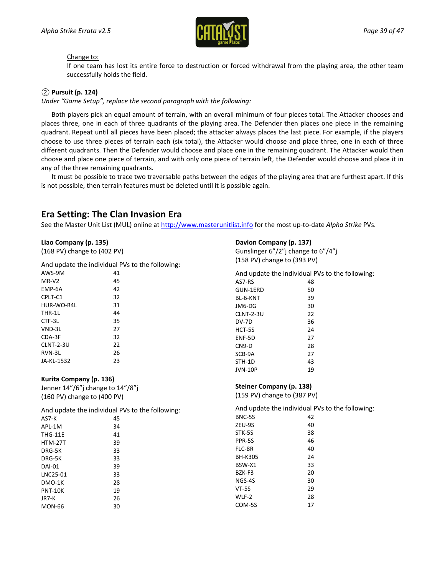

### Change to:

If one team has lost its entire force to destruction or forced withdrawal from the playing area, the other team successfully holds the field.

### *②* **Pursuit (p. 124)**

*Under "Game Setup", replace the second paragraph with the following:*

Both players pick an equal amount of terrain, with an overall minimum of four pieces total. The Attacker chooses and places three, one in each of three quadrants of the playing area. The Defender then places one piece in the remaining quadrant. Repeat until all pieces have been placed; the attacker always places the last piece. For example, if the players choose to use three pieces of terrain each (six total), the Attacker would choose and place three, one in each of three different quadrants. Then the Defender would choose and place one in the remaining quadrant. The Attacker would then choose and place one piece of terrain, and with only one piece of terrain left, the Defender would choose and place it in any of the three remaining quadrants.

It must be possible to trace two traversable paths between the edges of the playing area that are furthest apart. If this is not possible, then terrain features must be deleted until it is possible again.

## **Era Setting: The Clan Invasion Era**

See the Master Unit List (MUL) online at [http://www.masterunitlist.info](http://www.masterunitlist.info/) for the most up-to-date *Alpha Strike* PVs.

### **Liao Company (p. 135)**

(168 PV) change to (402 PV)

And update the individual PVs to the following:

| AWS-9M     | 41 |
|------------|----|
| MR-V2      | 45 |
| FMP-6A     | 42 |
| CPI T-C1   | 32 |
| HUR-WO-R4L | 31 |
| THR-1L     | 44 |
| CTF-3L     | 35 |
| VND-3L     | 27 |
| CDA-3F     | 32 |
| CI NT-2-3U | 22 |
| RVN-31     | 26 |
| JA-KL-1532 | 23 |

### **Kurita Company (p. 136)**

Jenner 14"/6"j change to 14"/8"j (160 PV) change to (400 PV)

And update the individual PVs to the following:

| AS7-K    | 45 |
|----------|----|
| API-1M   | 34 |
| THG-11E  | 41 |
| HTM-27T  | 39 |
| DRG-5K   | 33 |
| DRG-5K   | 33 |
| DAI-01   | 39 |
| LNC25-01 | 33 |
| DMO-1K   | 28 |
| PNT-10K  | 19 |
| IR7-K    | 26 |
| MON-66   | 30 |
|          |    |

### **Davion Company (p. 137)**

Gunslinger 6"/2"j change to 6"/4"j (158 PV) change to (393 PV)

|                | And update the individual PVs to the following: |
|----------------|-------------------------------------------------|
| AS7-RS         | 48                                              |
| GUN-1ERD       | 50                                              |
| BL-6-KNT       | 39                                              |
| JM6-DG         | 30                                              |
| CLNT-2-3U      | 22                                              |
| DV-7D          | 36                                              |
| HCT-5S         | 24                                              |
| ENF-5D         | 27                                              |
| $CN9-D$        | 28                                              |
| SCB-9A         | 27                                              |
| STH-1D         | 43                                              |
| <b>JVN-10P</b> | 19                                              |

#### **Steiner Company (p. 138)**

(159 PV) change to (387 PV)

And update the individual PVs to the following:

| BNC-5S  | 42 |
|---------|----|
| ZEU-9S  | 40 |
| STK-5S  | 38 |
| PPR-5S  | 46 |
| FLC-8R  | 40 |
| BH-K305 | 24 |
| BSW-X1  | 33 |
| BZK-F3  | 20 |
| NGS-4S  | 30 |
| VT-5S   | 29 |
| WLF-2   | 28 |
| COM-5S  | 17 |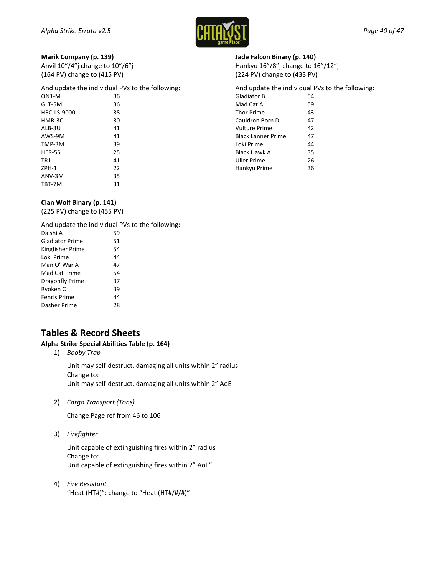

### **Marik Company (p. 139)**

| Anvil 10"/4"j change to 10"/6"j |
|---------------------------------|
| (164 PV) change to (415 PV)     |

And update the individual PVs to the following:

| $ON1-M$            | 36 |
|--------------------|----|
| GLT-5M             | 36 |
| <b>HRC-LS-9000</b> | 38 |
| HMR-3C             | 30 |
| ALB-3U             | 41 |
| AWS-9M             | 41 |
| TMP-3M             | 39 |
| HER-5S             | 25 |
| TR1                | 41 |
| $ZPH-1$            | 22 |
| ANV-3M             | 35 |
| TBT-7M             | 31 |

### **Clan Wolf Binary (p. 141)**

(225 PV) change to (455 PV)

And update the individual PVs to the following:

| Daishi A               | 59 |
|------------------------|----|
| <b>Gladiator Prime</b> | 51 |
| Kingfisher Prime       | 54 |
| Loki Prime             | 44 |
| Man O' War A           | 47 |
| Mad Cat Prime          | 54 |
| Dragonfly Prime        | 37 |
| Ryoken C               | 39 |
| <b>Fenris Prime</b>    | 44 |
| Dasher Prime           | 28 |
|                        |    |

## **Tables & Record Sheets**

### **Alpha Strike Special Abilities Table (p. 164)**

1) *Booby Trap*

Unit may self-destruct, damaging all units within 2" radius Change to: Unit may self-destruct, damaging all units within 2" AoE

2) *Cargo Transport (Tons)*

Change Page ref from 46 to 106

3) *Firefighter*

Unit capable of extinguishing fires within 2" radius Change to: Unit capable of extinguishing fires within 2" AoE"

4) *Fire Resistant* "Heat (HT#)": change to "Heat (HT#/#/#)"

### **Jade Falcon Binary (p. 140)**

Hankyu 16"/8"j change to 16"/12"j (224 PV) change to (433 PV)

And update the individual PVs to the following: Gladiator B 54

| Mad Cat A                 | 59 |
|---------------------------|----|
| <b>Thor Prime</b>         | 43 |
| Cauldron Born D           | 47 |
| Vulture Prime             | 42 |
| <b>Black Lanner Prime</b> | 47 |
| Loki Prime                | 44 |
| Black Hawk A              | 35 |
| Uller Prime               | 26 |
| Hankyu Prime              | 36 |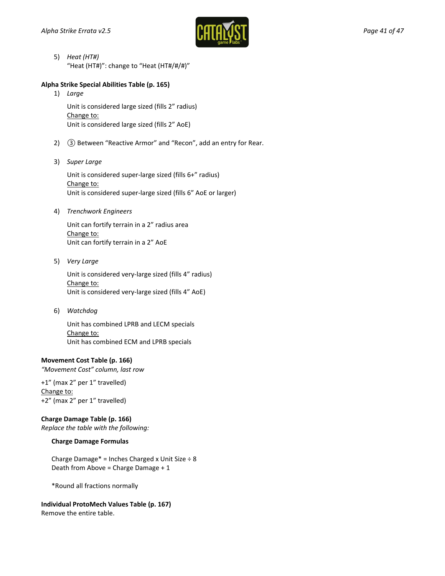

5) *Heat (HT#)* "Heat (HT#)": change to "Heat (HT#/#/#)"

### **Alpha Strike Special Abilities Table (p. 165)**

1) *Large*

Unit is considered large sized (fills 2" radius) Change to: Unit is considered large sized (fills 2" AoE)

- 2) *③* Between "Reactive Armor" and "Recon", add an entry for Rear.
- 3) *Super Large*

Unit is considered super-large sized (fills 6+" radius) Change to: Unit is considered super-large sized (fills 6" AoE or larger)

4) *Trenchwork Engineers*

Unit can fortify terrain in a 2" radius area Change to: Unit can fortify terrain in a 2" AoE

5) *Very Large*

Unit is considered very-large sized (fills 4" radius) Change to: Unit is considered very-large sized (fills 4" AoE)

6) *Watchdog*

Unit has combined LPRB and LECM specials Change to: Unit has combined ECM and LPRB specials

### **Movement Cost Table (p. 166)**

*"Movement Cost" column, last row*

+1" (max 2" per 1" travelled) Change to: +2" (max 2" per 1" travelled)

### **Charge Damage Table (p. 166)**

*Replace the table with the following:*

### **Charge Damage Formulas**

Charge Damage\* = Inches Charged x Unit Size  $\div$  8 Death from Above = Charge Damage + 1

\*Round all fractions normally

## **Individual ProtoMech Values Table (p. 167)**

Remove the entire table.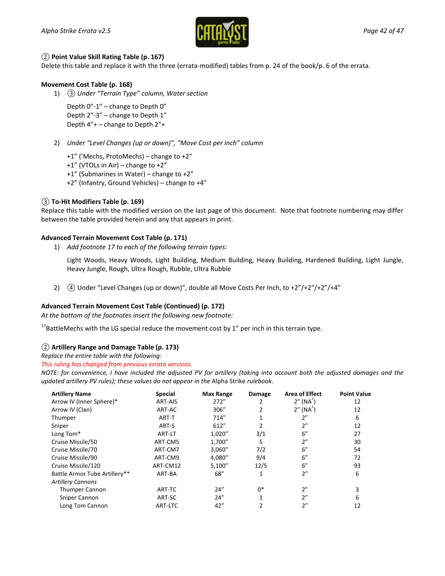

### *②* **Point Value Skill Rating Table (p. 167)**

Delete this table and replace it with the three (errata-modified) tables from p. 24 of the book/p[. 6](#page-5-0) of the errata.

### **Movement Cost Table (p. 168)**

1) *③ Under "Terrain Type" column, Water section*

Depth 0"-1" – change to Depth 0" Depth 2"-3" – change to Depth 1" Depth 4"+ – change to Depth 2"+

- 2) *Under "Level Changes (up or down)", "Move Cost per Inch" column*
	- +1" ('Mechs, ProtoMechs) change to +2"
	- +1" (VTOLs in Air) change to +2"
	- +1" (Submarines in Water) change to +2"
	- +2" (Infantry, Ground Vehicles) change to +4"

### *③* **To-Hit Modifiers Table (p. 169)**

Replace this table with the modified version on the last page of this document. Note that footnote numbering may differ between the table provided herein and any that appears in print.

### **Advanced Terrain Movement Cost Table (p. 171)**

1) *Add footnote 17 to each of the following terrain types:*

Light Woods, Heavy Woods, Light Building, Medium Building, Heavy Building, Hardened Building, Light Jungle, Heavy Jungle, Rough, Ultra Rough, Rubble, Ultra Rubble

2) **4** Under "Level Changes (up or down)", double all Move Costs Per Inch, to +2"/+2"/+2"/+4"

### **Advanced Terrain Movement Cost Table (Continued) (p. 172)**

*At the bottom of the footnotes insert the following new footnote:*

 $17$ BattleMechs with the LG special reduce the movement cost by 1" per inch in this terrain type.

### <span id="page-41-0"></span>*②* **Artillery Range and Damage Table (p. 173)**

*Replace the entire table with the following:*

*This ruling has changed from previous errata versions.*

*NOTE: for convenience, I have included the adjusted PV for artillery (taking into account both the adjusted damages and the updated artillery PV rules); these values do not appear in the* Alpha Strike *rulebook.*

| <b>Artillery Name</b>         | <b>Special</b> | <b>Max Range</b> | Damage       | <b>Area of Effect</b>                       | <b>Point Value</b> |
|-------------------------------|----------------|------------------|--------------|---------------------------------------------|--------------------|
| Arrow IV (Inner Sphere)*      | ART-AIS        | 272"             |              | $2''$ (NA <sup><math>\dagger</math></sup> ) | 12                 |
| Arrow IV (Clan)               | ART-AC         | 306"             | 2            | $2''$ (NA <sup>T</sup> )                    | 12                 |
| Thumper                       | ART-T          | 714"             | 1            | 2"                                          | 6                  |
| Sniper                        | ART-S          | 612"             |              | 2"                                          | 12                 |
| Long Tom*                     | ART-LT         | 1,020"           | 3/1          | 6"                                          | 27                 |
| Cruise Missile/50             | ART-CM5        | 1,700"           | 5            | 2"                                          | 30                 |
| Cruise Missile/70             | ART-CM7        | 3,060"           | 7/2          | 6"                                          | 54                 |
| Cruise Missile/90             | ART-CM9        | 4,080"           | 9/4          | 6''                                         | 72                 |
| Cruise Missile/120            | ART-CM12       | 5,100''          | 12/5         | 6''                                         | 93                 |
| Battle Armor Tube Artillery** | ART-BA         | 68"              | 1            | 2"                                          | 6                  |
| <b>Artillery Cannons</b>      |                |                  |              |                                             |                    |
| <b>Thumper Cannon</b>         | ART-TC         | 24''             | $0*$         | 2"                                          | 3                  |
| Sniper Cannon                 | ART-SC         | 24"              | $\mathbf{1}$ | 2"                                          | 6                  |
| Long Tom Cannon               | ART-LTC        | 42"              | 2            | 2"                                          | 12                 |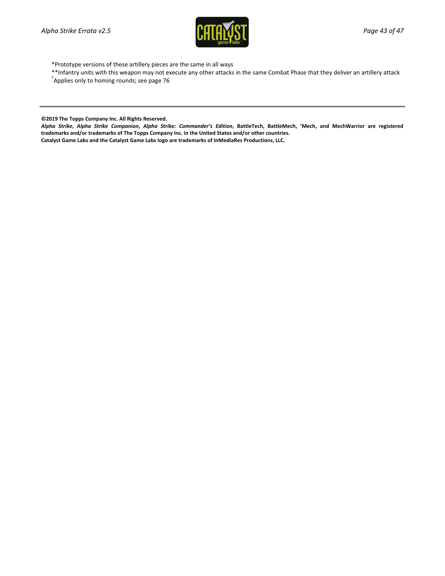

- \*Prototype versions of these artillery pieces are the same in all ways
- \*\*Infantry units with this weapon may not execute any other attacks in the same Combat Phase that they deliver an artillery attack †
- Applies only to homing rounds; see page 76

**©2019 The Topps Company Inc. All Rights Reserved.**

*Alpha Strike***,** *Alpha Strike Companion***,** *Alpha Strike: Commander's Edition***, BattleTech, BattleMech, 'Mech, and MechWarrior are registered trademarks and/or trademarks of The Topps Company Inc. in the United States and/or other countries.**

**Catalyst Game Labs and the Catalyst Game Labs logo are trademarks of InMediaRes Productions, LLC.**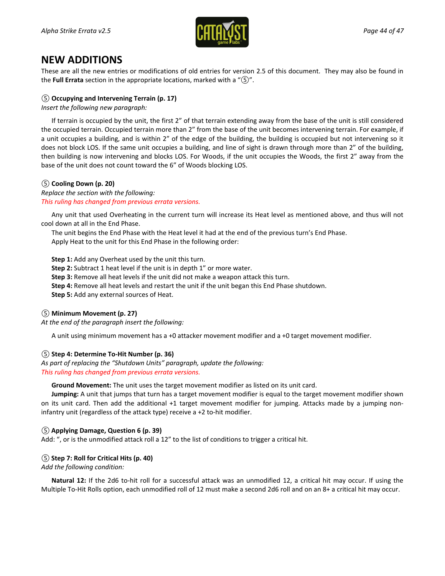

## **NEW ADDITIONS**

These are all the new entries or modifications of old entries for version 2.5 of this document. They may also be found in the **Full Errata** section in the appropriate locations, marked with a "*⑤*".

### *⑤* **Occupying and Intervening Terrain (p. 17)**

*Insert the following new paragraph:*

If terrain is occupied by the unit, the first 2" of that terrain extending away from the base of the unit is still considered the occupied terrain. Occupied terrain more than 2" from the base of the unit becomes intervening terrain. For example, if a unit occupies a building, and is within 2" of the edge of the building, the building is occupied but not intervening so it does not block LOS. If the same unit occupies a building, and line of sight is drawn through more than 2" of the building, then building is now intervening and blocks LOS. For Woods, if the unit occupies the Woods, the first 2" away from the base of the unit does not count toward the 6" of Woods blocking LOS.

### *⑤* **Cooling Down (p. 20)**

*Replace the section with the following: This ruling has changed from previous errata versions.*

Any unit that used Overheating in the current turn will increase its Heat level as mentioned above, and thus will not cool down at all in the End Phase.

The unit begins the End Phase with the Heat level it had at the end of the previous turn's End Phase. Apply Heat to the unit for this End Phase in the following order:

**Step 1:** Add any Overheat used by the unit this turn.

**Step 2:** Subtract 1 heat level if the unit is in depth 1" or more water.

**Step 3:** Remove all heat levels if the unit did not make a weapon attack this turn.

**Step 4:** Remove all heat levels and restart the unit if the unit began this End Phase shutdown.

**Step 5:** Add any external sources of Heat.

### *⑤* **Minimum Movement (p. 27)**

*At the end of the paragraph insert the following:*

A unit using minimum movement has a +0 attacker movement modifier and a +0 target movement modifier.

### *⑤* **Step 4: Determine To-Hit Number (p. 36)**

*As part of replacing the "Shutdown Units" paragraph, update the following: This ruling has changed from previous errata versions.*

**Ground Movement:** The unit uses the target movement modifier as listed on its unit card.

**Jumping:** A unit that jumps that turn has a target movement modifier is equal to the target movement modifier shown on its unit card. Then add the additional +1 target movement modifier for jumping. Attacks made by a jumping noninfantry unit (regardless of the attack type) receive a +2 to-hit modifier.

### *⑤* **Applying Damage, Question 6 (p. 39)**

Add: ", or is the unmodified attack roll a 12" to the list of conditions to trigger a critical hit.

### *⑤* **Step 7: Roll for Critical Hits (p. 40)**

*Add the following condition:*

**Natural 12:** If the 2d6 to-hit roll for a successful attack was an unmodified 12, a critical hit may occur. If using the Multiple To-Hit Rolls option, each unmodified roll of 12 must make a second 2d6 roll and on an 8+ a critical hit may occur.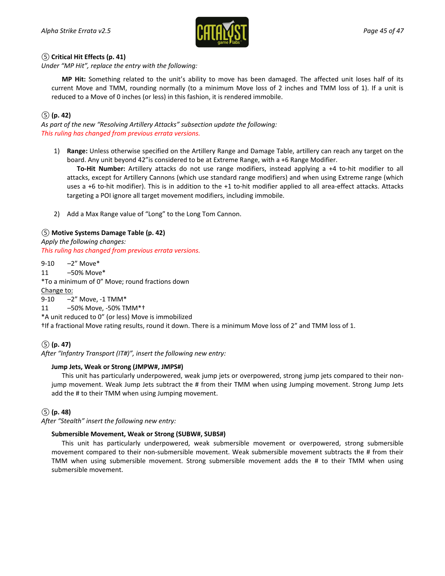

### *⑤* **Critical Hit Effects (p. 41)**

*Under "MP Hit", replace the entry with the following:*

**MP Hit:** Something related to the unit's ability to move has been damaged. The affected unit loses half of its current Move and TMM, rounding normally (to a minimum Move loss of 2 inches and TMM loss of 1). If a unit is reduced to a Move of 0 inches (or less) in this fashion, it is rendered immobile.

### *⑤* **(p. 42)**

*As part of the new "Resolving Artillery Attacks" subsection update the following: This ruling has changed from previous errata versions.*

1) **Range:** Unless otherwise specified on the Artillery Range and Damage Table, artillery can reach any target on the board. Any unit beyond 42"is considered to be at Extreme Range, with a +6 Range Modifier.

**To-Hit Number:** Artillery attacks do not use range modifiers, instead applying a +4 to-hit modifier to all attacks, except for Artillery Cannons (which use standard range modifiers) and when using Extreme range (which uses a +6 to-hit modifier). This is in addition to the +1 to-hit modifier applied to all area-effect attacks. Attacks targeting a POI ignore all target movement modifiers, including immobile.

2) Add a Max Range value of "Long" to the Long Tom Cannon.

### *⑤* **Motive Systems Damage Table (p. 42)**

*Apply the following changes: This ruling has changed from previous errata versions.*

9-10 –2" Move\* 11 –50% Move\* \*To a minimum of 0" Move; round fractions down Change to: 9-10 –2" Move, -1 TMM\*

11 –50% Move, -50% TMM\*†

\*A unit reduced to 0" (or less) Move is immobilized

†If a fractional Move rating results, round it down. There is a minimum Move loss of 2" and TMM loss of 1.

### *⑤* **(p. 47)**

*After "Infantry Transport (IT#)", insert the following new entry:*

### **Jump Jets, Weak or Strong (JMPW#, JMPS#)**

This unit has particularly underpowered, weak jump jets or overpowered, strong jump jets compared to their nonjump movement. Weak Jump Jets subtract the # from their TMM when using Jumping movement. Strong Jump Jets add the # to their TMM when using Jumping movement.

### *⑤* **(p. 48)**

*After "Stealth" insert the following new entry:*

### **Submersible Movement, Weak or Strong (SUBW#, SUBS#)**

This unit has particularly underpowered, weak submersible movement or overpowered, strong submersible movement compared to their non-submersible movement. Weak submersible movement subtracts the # from their TMM when using submersible movement. Strong submersible movement adds the # to their TMM when using submersible movement.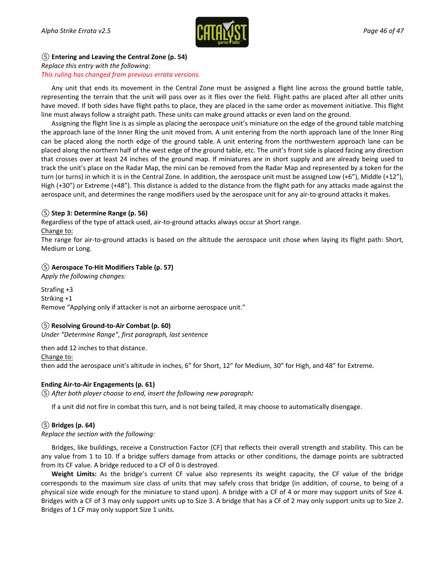

### *⑤* **Entering and Leaving the Central Zone (p. 54)** *Replace this entry with the following: This ruling has changed from previous errata versions.*

Any unit that ends its movement in the Central Zone must be assigned a flight line across the ground battle table, representing the terrain that the unit will pass over as it flies over the field. Flight paths are placed after all other units have moved. If both sides have flight paths to place, they are placed in the same order as movement initiative. This flight line must always follow a straight path. These units can make ground attacks or even land on the ground.

Assigning the flight line is as simple as placing the aerospace unit's miniature on the edge of the ground table matching the approach lane of the Inner Ring the unit moved from. A unit entering from the north approach lane of the Inner Ring can be placed along the north edge of the ground table. A unit entering from the northwestern approach lane can be placed along the northern half of the west edge of the ground table, etc. The unit's front side is placed facing any direction that crosses over at least 24 inches of the ground map. If miniatures are in short supply and are already being used to track the unit's place on the Radar Map, the mini can be removed from the Radar Map and represented by a token for the turn (or turns) in which it is in the Central Zone. In addition, the aerospace unit must be assigned Low (+6"), Middle (+12"), High (+30") or Extreme (+48"). This distance is added to the distance from the flight path for any attacks made against the aerospace unit, and determines the range modifiers used by the aerospace unit for any air-to-ground attacks it makes.

### *⑤* **Step 3: Determine Range (p. 56)**

Regardless of the type of attack used, air-to-ground attacks always occur at Short range.

Change to:

The range for air-to-ground attacks is based on the altitude the aerospace unit chose when laying its flight path: Short, Medium or Long*.*

### *⑤* **Aerospace To-Hit Modifiers Table (p. 57)**

*Apply the following changes:*

Strafing +3 Striking +1 Remove "Applying only if attacker is not an airborne aerospace unit."

### *⑤* **Resolving Ground-to-Air Combat (p. 60)**

*Under "Determine Range", first paragraph, last sentence*

then add 12 inches to that distance. Change to: then add the aerospace unit's altitude in inches, 6" for Short, 12" for Medium, 30" for High, and 48" for Extreme.

### **Ending Air-to-Air Engagements (p. 61)**

*⑤ After both player choose to end, insert the following new paragraph:*

If a unit did not fire in combat this turn, and is not being tailed, it may choose to automatically disengage.

### *⑤* **Bridges (p. 64)**

### *Replace the section with the following:*

Bridges, like buildings, receive a Construction Factor (CF) that reflects their overall strength and stability. This can be any value from 1 to 10. If a bridge suffers damage from attacks or other conditions, the damage points are subtracted from its CF value. A bridge reduced to a CF of 0 is destroyed.

**Weight Limits:** As the bridge's current CF value also represents its weight capacity, the CF value of the bridge corresponds to the maximum size class of units that may safely cross that bridge (in addition, of course, to being of a physical size wide enough for the miniature to stand upon). A bridge with a CF of 4 or more may support units of Size 4. Bridges with a CF of 3 may only support units up to Size 3. A bridge that has a CF of 2 may only support units up to Size 2. Bridges of 1 CF may only support Size 1 units.